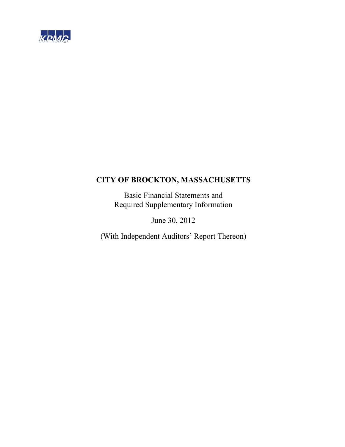

Basic Financial Statements and Required Supplementary Information

June 30, 2012

(With Independent Auditors' Report Thereon)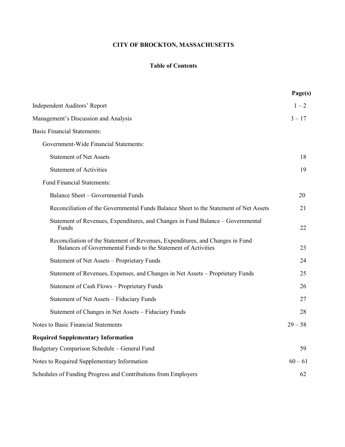## **Table of Contents**

|                                                                                                                                                 | Page(s)   |
|-------------------------------------------------------------------------------------------------------------------------------------------------|-----------|
| <b>Independent Auditors' Report</b>                                                                                                             | $1 - 2$   |
| Management's Discussion and Analysis                                                                                                            | $3 - 17$  |
| <b>Basic Financial Statements:</b>                                                                                                              |           |
| Government-Wide Financial Statements:                                                                                                           |           |
| <b>Statement of Net Assets</b>                                                                                                                  | 18        |
| <b>Statement of Activities</b>                                                                                                                  | 19        |
| <b>Fund Financial Statements:</b>                                                                                                               |           |
| Balance Sheet - Governmental Funds                                                                                                              | 20        |
| Reconciliation of the Governmental Funds Balance Sheet to the Statement of Net Assets                                                           | 21        |
| Statement of Revenues, Expenditures, and Changes in Fund Balance – Governmental<br>Funds                                                        | 22        |
| Reconciliation of the Statement of Revenues, Expenditures, and Changes in Fund<br>Balances of Governmental Funds to the Statement of Activities | 23        |
| Statement of Net Assets – Proprietary Funds                                                                                                     | 24        |
| Statement of Revenues, Expenses, and Changes in Net Assets - Proprietary Funds                                                                  | 25        |
| Statement of Cash Flows - Proprietary Funds                                                                                                     | 26        |
| Statement of Net Assets - Fiduciary Funds                                                                                                       | 27        |
| Statement of Changes in Net Assets - Fiduciary Funds                                                                                            | 28        |
| <b>Notes to Basic Financial Statements</b>                                                                                                      | $29 - 58$ |
| <b>Required Supplementary Information</b>                                                                                                       |           |
| Budgetary Comparison Schedule - General Fund                                                                                                    | 59        |
| Notes to Required Supplementary Information                                                                                                     | $60 - 61$ |
| Schedules of Funding Progress and Contributions from Employers                                                                                  | 62        |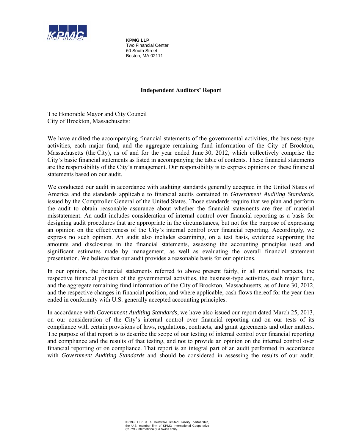

**KPMG LLP**  Two Financial Center 60 South Street Boston, MA 02111

## **Independent Auditors' Report**

The Honorable Mayor and City Council City of Brockton, Massachusetts:

We have audited the accompanying financial statements of the governmental activities, the business-type activities, each major fund, and the aggregate remaining fund information of the City of Brockton, Massachusetts (the City), as of and for the year ended June 30, 2012, which collectively comprise the City's basic financial statements as listed in accompanying the table of contents. These financial statements are the responsibility of the City's management. Our responsibility is to express opinions on these financial statements based on our audit.

We conducted our audit in accordance with auditing standards generally accepted in the United States of America and the standards applicable to financial audits contained in *Government Auditing Standards*, issued by the Comptroller General of the United States. Those standards require that we plan and perform the audit to obtain reasonable assurance about whether the financial statements are free of material misstatement. An audit includes consideration of internal control over financial reporting as a basis for designing audit procedures that are appropriate in the circumstances, but not for the purpose of expressing an opinion on the effectiveness of the City's internal control over financial reporting. Accordingly, we express no such opinion. An audit also includes examining, on a test basis, evidence supporting the amounts and disclosures in the financial statements, assessing the accounting principles used and significant estimates made by management, as well as evaluating the overall financial statement presentation. We believe that our audit provides a reasonable basis for our opinions.

In our opinion, the financial statements referred to above present fairly, in all material respects, the respective financial position of the governmental activities, the business-type activities, each major fund, and the aggregate remaining fund information of the City of Brockton, Massachusetts, as of June 30, 2012, and the respective changes in financial position, and where applicable, cash flows thereof for the year then ended in conformity with U.S. generally accepted accounting principles.

In accordance with *Government Auditing Standards*, we have also issued our report dated March 25, 2013, on our consideration of the City's internal control over financial reporting and on our tests of its compliance with certain provisions of laws, regulations, contracts, and grant agreements and other matters. The purpose of that report is to describe the scope of our testing of internal control over financial reporting and compliance and the results of that testing, and not to provide an opinion on the internal control over financial reporting or on compliance. That report is an integral part of an audit performed in accordance with *Government Auditing Standards* and should be considered in assessing the results of our audit.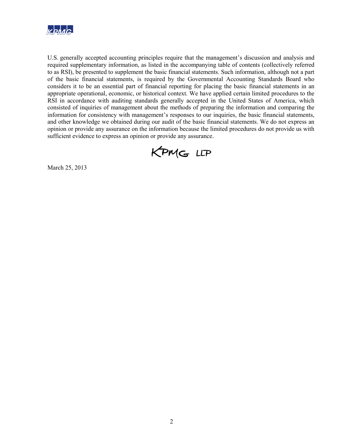

U.S. generally accepted accounting principles require that the management's discussion and analysis and required supplementary information, as listed in the accompanying table of contents (collectively referred to as RSI), be presented to supplement the basic financial statements. Such information, although not a part of the basic financial statements, is required by the Governmental Accounting Standards Board who considers it to be an essential part of financial reporting for placing the basic financial statements in an appropriate operational, economic, or historical context. We have applied certain limited procedures to the RSI in accordance with auditing standards generally accepted in the United States of America, which consisted of inquiries of management about the methods of preparing the information and comparing the information for consistency with management's responses to our inquiries, the basic financial statements, and other knowledge we obtained during our audit of the basic financial statements. We do not express an opinion or provide any assurance on the information because the limited procedures do not provide us with sufficient evidence to express an opinion or provide any assurance.

KPMG LLP

March 25, 2013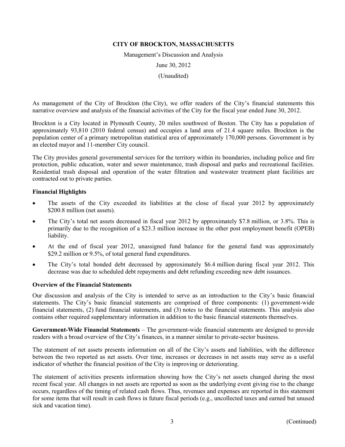Management's Discussion and Analysis

June 30, 2012

(Unaudited)

As management of the City of Brockton (the City), we offer readers of the City's financial statements this narrative overview and analysis of the financial activities of the City for the fiscal year ended June 30, 2012.

Brockton is a City located in Plymouth County, 20 miles southwest of Boston. The City has a population of approximately 93,810 (2010 federal census) and occupies a land area of 21.4 square miles. Brockton is the population center of a primary metropolitan statistical area of approximately 170,000 persons. Government is by an elected mayor and 11-member City council.

The City provides general governmental services for the territory within its boundaries, including police and fire protection, public education, water and sewer maintenance, trash disposal and parks and recreational facilities. Residential trash disposal and operation of the water filtration and wastewater treatment plant facilities are contracted out to private parties.

## **Financial Highlights**

- The assets of the City exceeded its liabilities at the close of fiscal year 2012 by approximately \$200.8 million (net assets).
- The City's total net assets decreased in fiscal year 2012 by approximately \$7.8 million, or 3.8%. This is primarily due to the recognition of a \$23.3 million increase in the other post employment benefit (OPEB) liability.
- At the end of fiscal year 2012, unassigned fund balance for the general fund was approximately \$29.2 million or 9.5%, of total general fund expenditures.
- The City's total bonded debt decreased by approximately \$6.4 million during fiscal year 2012. This decrease was due to scheduled debt repayments and debt refunding exceeding new debt issuances.

## **Overview of the Financial Statements**

Our discussion and analysis of the City is intended to serve as an introduction to the City's basic financial statements. The City's basic financial statements are comprised of three components: (1) government-wide financial statements, (2) fund financial statements, and (3) notes to the financial statements. This analysis also contains other required supplementary information in addition to the basic financial statements themselves.

**Government-Wide Financial Statements** – The government-wide financial statements are designed to provide readers with a broad overview of the City's finances, in a manner similar to private-sector business.

The statement of net assets presents information on all of the City's assets and liabilities, with the difference between the two reported as net assets. Over time, increases or decreases in net assets may serve as a useful indicator of whether the financial position of the City is improving or deteriorating.

The statement of activities presents information showing how the City's net assets changed during the most recent fiscal year. All changes in net assets are reported as soon as the underlying event giving rise to the change occurs, regardless of the timing of related cash flows. Thus, revenues and expenses are reported in this statement for some items that will result in cash flows in future fiscal periods (e.g., uncollected taxes and earned but unused sick and vacation time).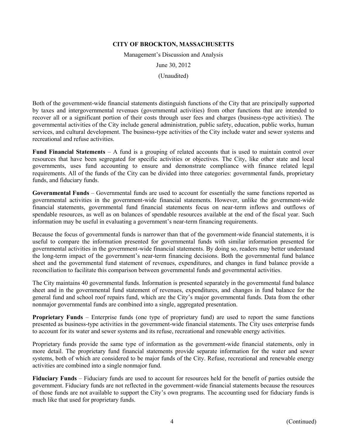Management's Discussion and Analysis

June 30, 2012

(Unaudited)

Both of the government-wide financial statements distinguish functions of the City that are principally supported by taxes and intergovernmental revenues (governmental activities) from other functions that are intended to recover all or a significant portion of their costs through user fees and charges (business-type activities). The governmental activities of the City include general administration, public safety, education, public works, human services, and cultural development. The business-type activities of the City include water and sewer systems and recreational and refuse activities.

**Fund Financial Statements** – A fund is a grouping of related accounts that is used to maintain control over resources that have been segregated for specific activities or objectives. The City, like other state and local governments, uses fund accounting to ensure and demonstrate compliance with finance related legal requirements. All of the funds of the City can be divided into three categories: governmental funds, proprietary funds, and fiduciary funds.

**Governmental Funds** – Governmental funds are used to account for essentially the same functions reported as governmental activities in the government-wide financial statements. However, unlike the government-wide financial statements, governmental fund financial statements focus on near-term inflows and outflows of spendable resources, as well as on balances of spendable resources available at the end of the fiscal year. Such information may be useful in evaluating a government's near-term financing requirements.

Because the focus of governmental funds is narrower than that of the government-wide financial statements, it is useful to compare the information presented for governmental funds with similar information presented for governmental activities in the government-wide financial statements. By doing so, readers may better understand the long-term impact of the government's near-term financing decisions. Both the governmental fund balance sheet and the governmental fund statement of revenues, expenditures, and changes in fund balance provide a reconciliation to facilitate this comparison between governmental funds and governmental activities.

The City maintains 40 governmental funds. Information is presented separately in the governmental fund balance sheet and in the governmental fund statement of revenues, expenditures, and changes in fund balance for the general fund and school roof repairs fund, which are the City's major governmental funds. Data from the other nonmajor governmental funds are combined into a single, aggregated presentation.

**Proprietary Funds** – Enterprise funds (one type of proprietary fund) are used to report the same functions presented as business-type activities in the government-wide financial statements. The City uses enterprise funds to account for its water and sewer systems and its refuse, recreational and renewable energy activities.

Proprietary funds provide the same type of information as the government-wide financial statements, only in more detail. The proprietary fund financial statements provide separate information for the water and sewer systems, both of which are considered to be major funds of the City. Refuse, recreational and renewable energy activities are combined into a single nonmajor fund.

**Fiduciary Funds** – Fiduciary funds are used to account for resources held for the benefit of parties outside the government. Fiduciary funds are not reflected in the government-wide financial statements because the resources of those funds are not available to support the City's own programs. The accounting used for fiduciary funds is much like that used for proprietary funds.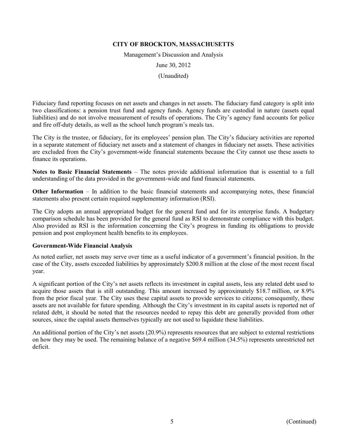Management's Discussion and Analysis

June 30, 2012

(Unaudited)

Fiduciary fund reporting focuses on net assets and changes in net assets. The fiduciary fund category is split into two classifications: a pension trust fund and agency funds. Agency funds are custodial in nature (assets equal liabilities) and do not involve measurement of results of operations. The City's agency fund accounts for police and fire off-duty details, as well as the school lunch program's meals tax.

The City is the trustee, or fiduciary, for its employees' pension plan. The City's fiduciary activities are reported in a separate statement of fiduciary net assets and a statement of changes in fiduciary net assets. These activities are excluded from the City's government-wide financial statements because the City cannot use these assets to finance its operations.

**Notes to Basic Financial Statements** – The notes provide additional information that is essential to a full understanding of the data provided in the government-wide and fund financial statements.

**Other Information** – In addition to the basic financial statements and accompanying notes, these financial statements also present certain required supplementary information (RSI).

The City adopts an annual appropriated budget for the general fund and for its enterprise funds. A budgetary comparison schedule has been provided for the general fund as RSI to demonstrate compliance with this budget. Also provided as RSI is the information concerning the City's progress in funding its obligations to provide pension and post employment health benefits to its employees.

#### **Government-Wide Financial Analysis**

As noted earlier, net assets may serve over time as a useful indicator of a government's financial position. In the case of the City, assets exceeded liabilities by approximately \$200.8 million at the close of the most recent fiscal year.

A significant portion of the City's net assets reflects its investment in capital assets, less any related debt used to acquire those assets that is still outstanding. This amount increased by approximately \$18.7 million, or 8.9% from the prior fiscal year. The City uses these capital assets to provide services to citizens; consequently, these assets are not available for future spending. Although the City's investment in its capital assets is reported net of related debt, it should be noted that the resources needed to repay this debt are generally provided from other sources, since the capital assets themselves typically are not used to liquidate these liabilities.

An additional portion of the City's net assets (20.9%) represents resources that are subject to external restrictions on how they may be used. The remaining balance of a negative \$69.4 million (34.5%) represents unrestricted net deficit.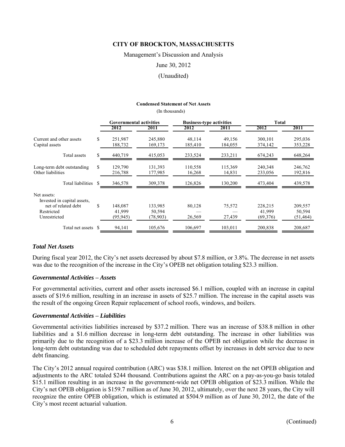Management's Discussion and Analysis

## June 30, 2012

## (Unaudited)

#### **Condensed Statement of Net Assets**

|                                                                                                 |     |                                | (In thousands)                | <b>Condensed Statement of Net Assets</b> |                   |                               |                                |  |
|-------------------------------------------------------------------------------------------------|-----|--------------------------------|-------------------------------|------------------------------------------|-------------------|-------------------------------|--------------------------------|--|
|                                                                                                 |     | <b>Governmental activities</b> |                               | <b>Business-type activities</b>          |                   | <b>Total</b>                  |                                |  |
|                                                                                                 |     | 2012                           | 2011                          | 2012                                     | 2011              | 2012                          | 2011                           |  |
| Current and other assets<br>Capital assets                                                      | \$. | 251,987<br>188,732             | 245,880<br>169,173            | 48,114<br>185,410                        | 49,156<br>184,055 | 300,101<br>374,142            | 295,036<br>353,228             |  |
| Total assets                                                                                    | S   | 440,719                        | 415,053                       | 233,524                                  | 233,211           | 674,243                       | 648,264                        |  |
| Long-term debt outstanding<br>Other liabilities                                                 | \$. | 129,790<br>216,788             | 131,393<br>177,985            | 110,558<br>16,268                        | 115,369<br>14,831 | 240,348<br>233,056            | 246,762<br>192,816             |  |
| Total liabilities                                                                               | \$. | 346,578                        | 309,378                       | 126,826                                  | 130,200           | 473,404                       | 439,578                        |  |
| Net assets:<br>Invested in capital assets,<br>net of related debt<br>Restricted<br>Unrestricted | \$  | 148,087<br>41,999<br>(95, 945) | 133,985<br>50,594<br>(78,903) | 80,128<br>26,569                         | 75,572<br>27,439  | 228,215<br>41,999<br>(69,376) | 209,557<br>50,594<br>(51, 464) |  |
| Total net assets                                                                                | S   | 94,141                         | 105,676                       | 106,697                                  | 103,011           | 200,838                       | 208,687                        |  |

## *Total Net Assets*

During fiscal year 2012, the City's net assets decreased by about \$7.8 million, or 3.8%. The decrease in net assets was due to the recognition of the increase in the City's OPEB net obligation totaling \$23.3 million.

#### *Governmental Activities – Assets*

For governmental activities, current and other assets increased \$6.1 million, coupled with an increase in capital assets of \$19.6 million, resulting in an increase in assets of \$25.7 million. The increase in the capital assets was the result of the ongoing Green Repair replacement of school roofs, windows, and boilers.

#### *Governmental Activities – Liabilities*

Governmental activities liabilities increased by \$37.2 million. There was an increase of \$38.8 million in other liabilities and a \$1.6 million decrease in long-term debt outstanding. The increase in other liabilities was primarily due to the recognition of a \$23.3 million increase of the OPEB net obligation while the decrease in long-term debt outstanding was due to scheduled debt repayments offset by increases in debt service due to new debt financing.

The City's 2012 annual required contribution (ARC) was \$38.1 million. Interest on the net OPEB obligation and adjustments to the ARC totaled \$244 thousand. Contributions against the ARC on a pay-as-you-go basis totaled \$15.1 million resulting in an increase in the government-wide net OPEB obligation of \$23.3 million. While the City's net OPEB obligation is \$159.7 million as of June 30, 2012, ultimately, over the next 28 years, the City will recognize the entire OPEB obligation, which is estimated at \$504.9 million as of June 30, 2012, the date of the City's most recent actuarial valuation.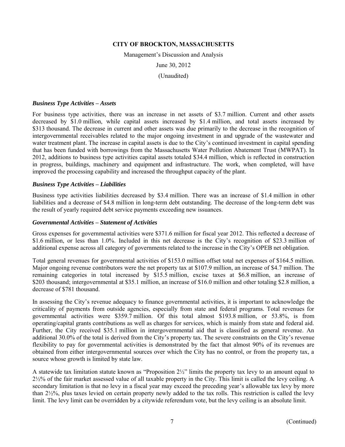Management's Discussion and Analysis

June 30, 2012

(Unaudited)

#### *Business Type Activities – Assets*

For business type activities, there was an increase in net assets of \$3.7 million. Current and other assets decreased by \$1.0 million, while capital assets increased by \$1.4 million, and total assets increased by \$313 thousand. The decrease in current and other assets was due primarily to the decrease in the recognition of intergovernmental receivables related to the major ongoing investment in and upgrade of the wastewater and water treatment plant. The increase in capital assets is due to the City's continued investment in capital spending that has been funded with borrowings from the Massachusetts Water Pollution Abatement Trust (MWPAT). In 2012, additions to business type activities capital assets totaled \$34.4 million, which is reflected in construction in progress, buildings, machinery and equipment and infrastructure. The work, when completed, will have improved the processing capability and increased the throughput capacity of the plant.

#### *Business Type Activities – Liabilities*

Business type activities liabilities decreased by \$3.4 million. There was an increase of \$1.4 million in other liabilities and a decrease of \$4.8 million in long-term debt outstanding. The decrease of the long-term debt was the result of yearly required debt service payments exceeding new issuances.

#### *Governmental Activities – Statement of Activities*

Gross expenses for governmental activities were \$371.6 million for fiscal year 2012. This reflected a decrease of \$1.6 million, or less than 1.0%. Included in this net decrease is the City's recognition of \$23.3 million of additional expense across all category of governments related to the increase in the City's OPEB net obligation.

Total general revenues for governmental activities of \$153.0 million offset total net expenses of \$164.5 million. Major ongoing revenue contributors were the net property tax at \$107.9 million, an increase of \$4.7 million. The remaining categories in total increased by \$15.5 million, excise taxes at \$6.8 million, an increase of \$203 thousand; intergovernmental at \$35.1 million, an increase of \$16.0 million and other totaling \$2.8 million, a decrease of \$781 thousand.

In assessing the City's revenue adequacy to finance governmental activities, it is important to acknowledge the criticality of payments from outside agencies, especially from state and federal programs. Total revenues for governmental activities were \$359.7 million. Of this total almost \$193.8 million, or 53.8%, is from operating/capital grants contributions as well as charges for services, which is mainly from state and federal aid. Further, the City received \$35.1 million in intergovernmental aid that is classified as general revenue. An additional 30.0% of the total is derived from the City's property tax. The severe constraints on the City's revenue flexibility to pay for governmental activities is demonstrated by the fact that almost 90% of its revenues are obtained from either intergovernmental sources over which the City has no control, or from the property tax, a source whose growth is limited by state law.

A statewide tax limitation statute known as "Proposition  $2\frac{1}{2}$ " limits the property tax levy to an amount equal to 2½% of the fair market assessed value of all taxable property in the City. This limit is called the levy ceiling. A secondary limitation is that no levy in a fiscal year may exceed the preceding year's allowable tax levy by more than 2½%, plus taxes levied on certain property newly added to the tax rolls. This restriction is called the levy limit. The levy limit can be overridden by a citywide referendum vote, but the levy ceiling is an absolute limit.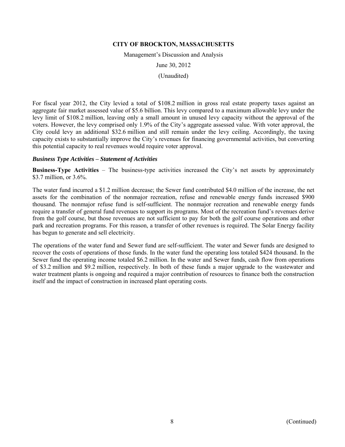Management's Discussion and Analysis

June 30, 2012

(Unaudited)

For fiscal year 2012, the City levied a total of \$108.2 million in gross real estate property taxes against an aggregate fair market assessed value of \$5.6 billion. This levy compared to a maximum allowable levy under the levy limit of \$108.2 million, leaving only a small amount in unused levy capacity without the approval of the voters. However, the levy comprised only 1.9% of the City's aggregate assessed value. With voter approval, the City could levy an additional \$32.6 million and still remain under the levy ceiling. Accordingly, the taxing capacity exists to substantially improve the City's revenues for financing governmental activities, but converting this potential capacity to real revenues would require voter approval.

#### *Business Type Activities – Statement of Activities*

**Business-Type Activities** – The business-type activities increased the City's net assets by approximately \$3.7 million, or 3.6%.

The water fund incurred a \$1.2 million decrease; the Sewer fund contributed \$4.0 million of the increase, the net assets for the combination of the nonmajor recreation, refuse and renewable energy funds increased \$900 thousand. The nonmajor refuse fund is self-sufficient. The nonmajor recreation and renewable energy funds require a transfer of general fund revenues to support its programs. Most of the recreation fund's revenues derive from the golf course, but those revenues are not sufficient to pay for both the golf course operations and other park and recreation programs. For this reason, a transfer of other revenues is required. The Solar Energy facility has begun to generate and sell electricity.

The operations of the water fund and Sewer fund are self-sufficient. The water and Sewer funds are designed to recover the costs of operations of those funds. In the water fund the operating loss totaled \$424 thousand. In the Sewer fund the operating income totaled \$6.2 million. In the water and Sewer funds, cash flow from operations of \$3.2 million and \$9.2 million, respectively. In both of these funds a major upgrade to the wastewater and water treatment plants is ongoing and required a major contribution of resources to finance both the construction itself and the impact of construction in increased plant operating costs.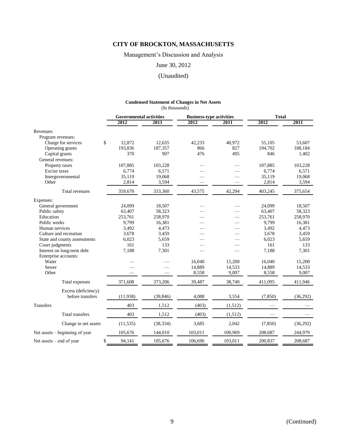Management's Discussion and Analysis

## June 30, 2012

## (Unaudited)

## **Condensed Statement of Changes in Net Assets**

(In thousands)

|                                |           | <b>Governmental activities</b> |         | <b>Business-type activities</b> | <b>Total</b> |           |  |
|--------------------------------|-----------|--------------------------------|---------|---------------------------------|--------------|-----------|--|
|                                | 2012      | 2011                           | 2012    | 2011                            | 2012         | 2011      |  |
| Revenues:                      |           |                                |         |                                 |              |           |  |
| Program revenues:              |           |                                |         |                                 |              |           |  |
| \$<br>Charge for services      | 12,872    | 12,635                         | 42,233  | 40,972                          | 55,105       | 53,607    |  |
| Operating grants               | 193,836   | 187,357                        | 866     | 827                             | 194,702      | 188,184   |  |
| Capital grants                 | 370       | 907                            | 476     | 495                             | 846          | 1,402     |  |
| General revenues:              |           |                                |         |                                 |              |           |  |
| Property taxes                 | 107,885   | 103,228                        |         |                                 | 107,885      | 103,228   |  |
| Excise taxes                   | 6,774     | 6,571                          |         |                                 | 6.774        | 6,571     |  |
| Intergovernmental              | 35,119    | 19,068                         |         |                                 | 35,119       | 19,068    |  |
| Other                          | 2,814     | 3,594                          |         |                                 | 2,814        | 3,594     |  |
| Total revenues                 | 359,670   | 333,360                        | 43,575  | 42,294                          | 403,245      | 375,654   |  |
| Expenses:                      |           |                                |         |                                 |              |           |  |
| General government             | 24,099    | 18,507                         |         |                                 | 24,099       | 18,507    |  |
| Public safety                  | 63,407    | 58,323                         |         |                                 | 63,407       | 58,323    |  |
| Education                      | 253,761   | 258,970                        |         |                                 | 253,761      | 258,970   |  |
| Public works                   | 9,799     | 16,381                         |         |                                 | 9,799        | 16,381    |  |
| Human services                 | 3,492     | 4,473                          |         |                                 | 3,492        | 4,473     |  |
| Culture and recreation         | 3,678     | 3,459                          |         |                                 | 3,678        | 3,459     |  |
| State and county assessments   | 6,023     | 5,659                          |         |                                 | 6,023        | 5,659     |  |
| Court judgments                | 161       | 133                            |         |                                 | 161          | 133       |  |
| Interest on long-term debt     | 7,188     | 7,301                          |         |                                 | 7,188        | 7,301     |  |
| Enterprise accounts:           |           |                                |         |                                 |              |           |  |
| Water                          |           |                                | 16.040  | 15,200                          | 16,040       | 15,200    |  |
| Sewer                          |           |                                | 14,889  | 14,533                          | 14,889       | 14,533    |  |
| Other                          |           |                                | 8,558   | 9,007                           | 8,558        | 9,007     |  |
| Total expenses                 | 371,608   | 373,206                        | 39,487  | 38,740                          | 411,095      | 411,946   |  |
| Excess (deficiency)            |           |                                |         |                                 |              |           |  |
| before transfers               | (11,938)  | (39, 846)                      | 4,088   | 3,554                           | (7, 850)     | (36, 292) |  |
| <b>Transfers</b>               | 403       | 1,512                          | (403)   | (1,512)                         |              |           |  |
| <b>Total transfers</b>         | 403       | 1,512                          | (403)   | (1,512)                         |              |           |  |
| Change in net assets           | (11, 535) | (38, 334)                      | 3,685   | 2,042                           | (7, 850)     | (36,292)  |  |
| Net assets – beginning of year | 105,676   | 144,010                        | 103,011 | 100,969                         | 208,687      | 244,979   |  |
| \$<br>Net assets – end of year | 94,141    | 105.676                        | 106.696 | 103,011                         | 200.837      | 208,687   |  |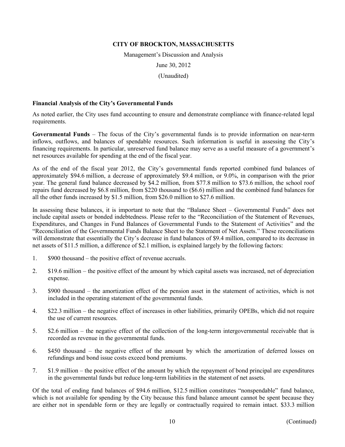Management's Discussion and Analysis

June 30, 2012

(Unaudited)

#### **Financial Analysis of the City's Governmental Funds**

As noted earlier, the City uses fund accounting to ensure and demonstrate compliance with finance-related legal requirements.

**Governmental Funds** – The focus of the City's governmental funds is to provide information on near-term inflows, outflows, and balances of spendable resources. Such information is useful in assessing the City's financing requirements. In particular, unreserved fund balance may serve as a useful measure of a government's net resources available for spending at the end of the fiscal year.

As of the end of the fiscal year 2012, the City's governmental funds reported combined fund balances of approximately \$94.6 million, a decrease of approximately \$9.4 million, or 9.0%, in comparison with the prior year. The general fund balance decreased by \$4.2 million, from \$77.8 million to \$73.6 million, the school roof repairs fund decreased by \$6.8 million, from \$220 thousand to (\$6.6) million and the combined fund balances for all the other funds increased by \$1.5 million, from \$26.0 million to \$27.6 million.

In assessing these balances, it is important to note that the "Balance Sheet – Governmental Funds" does not include capital assets or bonded indebtedness. Please refer to the "Reconciliation of the Statement of Revenues, Expenditures, and Changes in Fund Balances of Governmental Funds to the Statement of Activities" and the "Reconciliation of the Governmental Funds Balance Sheet to the Statement of Net Assets." These reconciliations will demonstrate that essentially the City's decrease in fund balances of \$9.4 million, compared to its decrease in net assets of \$11.5 million, a difference of \$2.1 million, is explained largely by the following factors:

- 1. \$900 thousand the positive effect of revenue accruals.
- 2. \$19.6 million the positive effect of the amount by which capital assets was increased, net of depreciation expense.
- 3. \$900 thousand the amortization effect of the pension asset in the statement of activities, which is not included in the operating statement of the governmental funds.
- 4. \$22.3 million the negative effect of increases in other liabilities, primarily OPEBs, which did not require the use of current resources.
- 5. \$2.6 million the negative effect of the collection of the long-term intergovernmental receivable that is recorded as revenue in the governmental funds.
- 6. \$450 thousand the negative effect of the amount by which the amortization of deferred losses on refundings and bond issue costs exceed bond premiums.
- 7. \$1.9 million the positive effect of the amount by which the repayment of bond principal are expenditures in the governmental funds but reduce long-term liabilities in the statement of net assets.

Of the total of ending fund balances of \$94.6 million, \$12.5 million constitutes "nonspendable" fund balance, which is not available for spending by the City because this fund balance amount cannot be spent because they are either not in spendable form or they are legally or contractually required to remain intact. \$33.3 million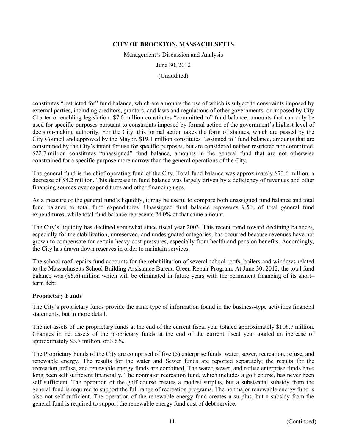Management's Discussion and Analysis

June 30, 2012

(Unaudited)

constitutes "restricted for" fund balance, which are amounts the use of which is subject to constraints imposed by external parties, including creditors, grantors, and laws and regulations of other governments, or imposed by City Charter or enabling legislation. \$7.0 million constitutes "committed to" fund balance, amounts that can only be used for specific purposes pursuant to constraints imposed by formal action of the government's highest level of decision-making authority. For the City, this formal action takes the form of statutes, which are passed by the City Council and approved by the Mayor. \$19.1 million constitutes "assigned to" fund balance, amounts that are constrained by the City's intent for use for specific purposes, but are considered neither restricted nor committed. \$22.7 million constitutes "unassigned" fund balance, amounts in the general fund that are not otherwise constrained for a specific purpose more narrow than the general operations of the City.

The general fund is the chief operating fund of the City. Total fund balance was approximately \$73.6 million, a decrease of \$4.2 million. This decrease in fund balance was largely driven by a deficiency of revenues and other financing sources over expenditures and other financing uses.

As a measure of the general fund's liquidity, it may be useful to compare both unassigned fund balance and total fund balance to total fund expenditures. Unassigned fund balance represents 9.5% of total general fund expenditures, while total fund balance represents 24.0% of that same amount.

The City's liquidity has declined somewhat since fiscal year 2003. This recent trend toward declining balances, especially for the stabilization, unreserved, and undesignated categories, has occurred because revenues have not grown to compensate for certain heavy cost pressures, especially from health and pension benefits. Accordingly, the City has drawn down reserves in order to maintain services.

The school roof repairs fund accounts for the rehabilitation of several school roofs, boilers and windows related to the Massachusetts School Building Assistance Bureau Green Repair Program. At June 30, 2012, the total fund balance was (\$6.6) million which will be eliminated in future years with the permanent financing of its short– term debt.

## **Proprietary Funds**

The City's proprietary funds provide the same type of information found in the business-type activities financial statements, but in more detail.

The net assets of the proprietary funds at the end of the current fiscal year totaled approximately \$106.7 million. Changes in net assets of the proprietary funds at the end of the current fiscal year totaled an increase of approximately \$3.7 million, or 3.6%.

The Proprietary Funds of the City are comprised of five (5) enterprise funds: water, sewer, recreation, refuse, and renewable energy. The results for the water and Sewer funds are reported separately; the results for the recreation, refuse, and renewable energy funds are combined. The water, sewer, and refuse enterprise funds have long been self sufficient financially. The nonmajor recreation fund, which includes a golf course, has never been self sufficient. The operation of the golf course creates a modest surplus, but a substantial subsidy from the general fund is required to support the full range of recreation programs. The nonmajor renewable energy fund is also not self sufficient. The operation of the renewable energy fund creates a surplus, but a subsidy from the general fund is required to support the renewable energy fund cost of debt service.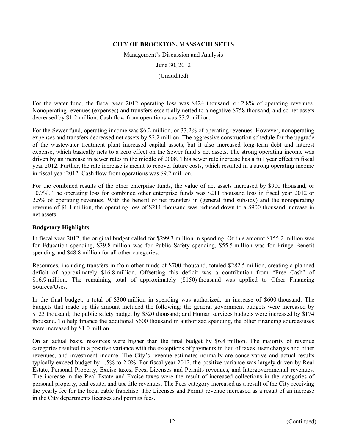Management's Discussion and Analysis

June 30, 2012

(Unaudited)

For the water fund, the fiscal year 2012 operating loss was \$424 thousand, or 2.8% of operating revenues. Nonoperating revenues (expenses) and transfers essentially netted to a negative \$758 thousand, and so net assets decreased by \$1.2 million. Cash flow from operations was \$3.2 million.

For the Sewer fund, operating income was \$6.2 million, or 33.2% of operating revenues. However, nonoperating expenses and transfers decreased net assets by \$2.2 million. The aggressive construction schedule for the upgrade of the wastewater treatment plant increased capital assets, but it also increased long-term debt and interest expense, which basically nets to a zero effect on the Sewer fund's net assets. The strong operating income was driven by an increase in sewer rates in the middle of 2008. This sewer rate increase has a full year effect in fiscal year 2012. Further, the rate increase is meant to recover future costs, which resulted in a strong operating income in fiscal year 2012. Cash flow from operations was \$9.2 million.

For the combined results of the other enterprise funds, the value of net assets increased by \$900 thousand, or 10.7%. The operating loss for combined other enterprise funds was \$211 thousand loss in fiscal year 2012 or 2.5% of operating revenues. With the benefit of net transfers in (general fund subsidy) and the nonoperating revenue of \$1.1 million, the operating loss of \$211 thousand was reduced down to a \$900 thousand increase in net assets.

#### **Budgetary Highlights**

In fiscal year 2012, the original budget called for \$299.3 million in spending. Of this amount \$155.2 million was for Education spending, \$39.8 million was for Public Safety spending, \$55.5 million was for Fringe Benefit spending and \$48.8 million for all other categories.

Resources, including transfers in from other funds of \$700 thousand, totaled \$282.5 million, creating a planned deficit of approximately \$16.8 million. Offsetting this deficit was a contribution from "Free Cash" of \$16.9 million. The remaining total of approximately (\$150) thousand was applied to Other Financing Sources/Uses.

In the final budget, a total of \$300 million in spending was authorized, an increase of \$600 thousand. The budgets that made up this amount included the following: the general government budgets were increased by \$123 thousand; the public safety budget by \$320 thousand; and Human services budgets were increased by \$174 thousand. To help finance the additional \$600 thousand in authorized spending, the other financing sources/uses were increased by \$1.0 million.

On an actual basis, resources were higher than the final budget by \$6.4 million. The majority of revenue categories resulted in a positive variance with the exceptions of payments in lieu of taxes, user charges and other revenues, and investment income. The City's revenue estimates normally are conservative and actual results typically exceed budget by 1.5% to 2.0%. For fiscal year 2012, the positive variance was largely driven by Real Estate, Personal Property, Excise taxes, Fees, Licenses and Permits revenues, and Intergovernmental revenues. The increase in the Real Estate and Excise taxes were the result of increased collections in the categories of personal property, real estate, and tax title revenues. The Fees category increased as a result of the City receiving the yearly fee for the local cable franchise. The Licenses and Permit revenue increased as a result of an increase in the City departments licenses and permits fees.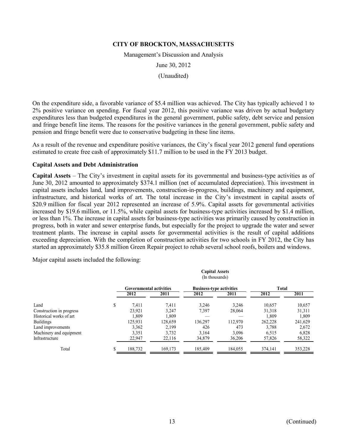Management's Discussion and Analysis

June 30, 2012

(Unaudited)

On the expenditure side, a favorable variance of \$5.4 million was achieved. The City has typically achieved 1 to 2% positive variance on spending. For fiscal year 2012, this positive variance was driven by actual budgetary expenditures less than budgeted expenditures in the general government, public safety, debt service and pension and fringe benefit line items. The reasons for the positive variances in the general government, public safety and pension and fringe benefit were due to conservative budgeting in these line items.

As a result of the revenue and expenditure positive variances, the City's fiscal year 2012 general fund operations estimated to create free cash of approximately \$11.7 million to be used in the FY 2013 budget.

#### **Capital Assets and Debt Administration**

**Capital Assets** – The City's investment in capital assets for its governmental and business-type activities as of June 30, 2012 amounted to approximately \$374.1 million (net of accumulated depreciation). This investment in capital assets includes land, land improvements, construction-in-progress, buildings, machinery and equipment, infrastructure, and historical works of art. The total increase in the City's investment in capital assets of \$20.9 million for fiscal year 2012 represented an increase of 5.9%. Capital assets for governmental activities increased by \$19.6 million, or 11.5%, while capital assets for business-type activities increased by \$1.4 million, or less than 1%. The increase in capital assets for business-type activities was primarily caused by construction in progress, both in water and sewer enterprise funds, but especially for the project to upgrade the water and sewer treatment plants. The increase in capital assets for governmental activities is the result of capital additions exceeding depreciation. With the completion of construction activities for two schools in FY 2012, the City has started an approximately \$35.8 million Green Repair project to rehab several school roofs, boilers and windows.

Major capital assets included the following:

| <b>Capital Assets</b><br>(In thousands) |         |                                         |         |                                 |         |  |
|-----------------------------------------|---------|-----------------------------------------|---------|---------------------------------|---------|--|
|                                         |         |                                         |         | Total                           |         |  |
| 2012                                    | 2011    | 2012                                    | 2011    | 2012                            | 2011    |  |
| \$                                      |         |                                         | 3.246   |                                 | 10,657  |  |
| 23,921                                  | 3.247   | 7,397                                   | 28,064  | 31,318                          | 31,311  |  |
| 1,809                                   | 1,809   |                                         |         | 1,809                           | 1,809   |  |
| 125,931                                 | 128,659 | 136,297                                 | 112,970 | 262,228                         | 241,629 |  |
| 3,362                                   | 2,199   | 426                                     | 473     | 3,788                           | 2,672   |  |
| 3,351                                   | 3.732   | 3,164                                   | 3,096   | 6,515                           | 6,828   |  |
| 22,947                                  | 22,116  | 34,879                                  | 36,206  | 57,826                          | 58,322  |  |
| 188,732                                 | 169,173 | 185,409                                 | 184,055 | 374,141                         | 353,228 |  |
|                                         | 7.411   | <b>Governmental activities</b><br>7.411 | 3,246   | <b>Business-type activities</b> | 10,657  |  |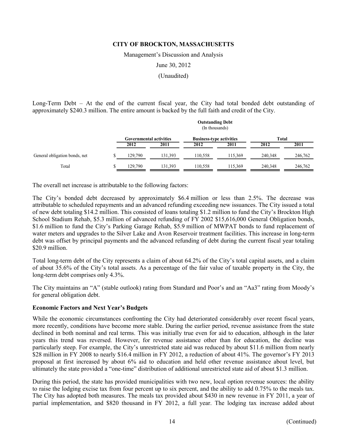Management's Discussion and Analysis

June 30, 2012

(Unaudited)

Long-Term Debt – At the end of the current fiscal year, the City had total bonded debt outstanding of approximately \$240.3 million. The entire amount is backed by the full faith and credit of the City.

|                               | <b>Outstanding Debt</b><br>(In thousands) |         |                                 |         |              |         |  |
|-------------------------------|-------------------------------------------|---------|---------------------------------|---------|--------------|---------|--|
|                               | <b>Governmental activities</b>            |         | <b>Business-type activities</b> |         | <b>Total</b> |         |  |
|                               | 2012                                      | 2011    | 2012                            | 2011    | 2012         | 2011    |  |
| General obligation bonds, net | 129,790                                   | 131,393 | 110.558                         | 115,369 | 240,348      | 246,762 |  |
| Total                         | 129,790                                   | 131,393 | 110.558                         | 115.369 | 240,348      | 246,762 |  |

The overall net increase is attributable to the following factors:

The City's bonded debt decreased by approximately \$6.4 million or less than 2.5%. The decrease was attributable to scheduled repayments and an advanced refunding exceeding new issuances. The City issued a total of new debt totaling \$14.2 million. This consisted of loans totaling \$1.2 million to fund the City's Brockton High School Stadium Rehab, \$5.3 million of advanced refunding of FY 2002 \$15,616,000 General Obligation bonds, \$1.6 million to fund the City's Parking Garage Rehab, \$5.9 million of MWPAT bonds to fund replacement of water meters and upgrades to the Silver Lake and Avon Reservoir treatment facilities. This increase in long-term debt was offset by principal payments and the advanced refunding of debt during the current fiscal year totaling \$20.9 million.

Total long-term debt of the City represents a claim of about 64.2% of the City's total capital assets, and a claim of about 35.6% of the City's total assets. As a percentage of the fair value of taxable property in the City, the long-term debt comprises only 4.3%.

The City maintains an "A" (stable outlook) rating from Standard and Poor's and an "Aa3" rating from Moody's for general obligation debt.

#### **Economic Factors and Next Year's Budgets**

While the economic circumstances confronting the City had deteriorated considerably over recent fiscal years, more recently, conditions have become more stable. During the earlier period, revenue assistance from the state declined in both nominal and real terms. This was initially true even for aid to education, although in the later years this trend was reversed. However, for revenue assistance other than for education, the decline was particularly steep. For example, the City's unrestricted state aid was reduced by about \$11.6 million from nearly \$28 million in FY 2008 to nearly \$16.4 million in FY 2012, a reduction of about 41%. The governor's FY 2013 proposal at first increased by about 6% aid to education and held other revenue assistance about level, but ultimately the state provided a "one-time" distribution of additional unrestricted state aid of about \$1.3 million.

During this period, the state has provided municipalities with two new, local option revenue sources: the ability to raise the lodging excise tax from four percent up to six percent, and the ability to add 0.75% to the meals tax. The City has adopted both measures. The meals tax provided about \$430 in new revenue in FY 2011, a year of partial implementation, and \$820 thousand in FY 2012, a full year. The lodging tax increase added about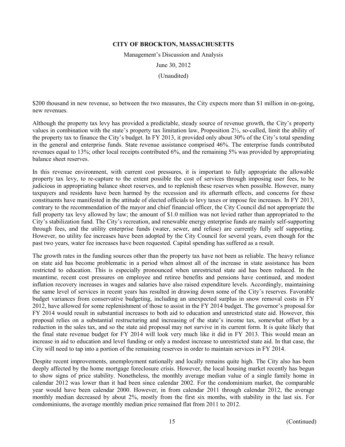Management's Discussion and Analysis

June 30, 2012

(Unaudited)

\$200 thousand in new revenue, so between the two measures, the City expects more than \$1 million in on-going, new revenues.

Although the property tax levy has provided a predictable, steady source of revenue growth, the City's property values in combination with the state's property tax limitation law, Proposition 2½, so-called, limit the ability of the property tax to finance the City's budget. In FY 2013, it provided only about 30% of the City's total spending in the general and enterprise funds. State revenue assistance comprised 46%. The enterprise funds contributed revenues equal to 13%; other local receipts contributed 6%, and the remaining 5% was provided by appropriating balance sheet reserves.

In this revenue environment, with current cost pressures, it is important to fully appropriate the allowable property tax levy, to re-capture to the extent possible the cost of services through imposing user fees, to be judicious in appropriating balance sheet reserves, and to replenish these reserves when possible. However, many taxpayers and residents have been harmed by the recession and its aftermath effects, and concerns for these constituents have manifested in the attitude of elected officials to levy taxes or impose fee increases. In FY 2013, contrary to the recommendation of the mayor and chief financial officer, the City Council did not appropriate the full property tax levy allowed by law; the amount of \$1.0 million was not levied rather than appropriated to the City's stabilization fund. The City's recreation, and renewable energy enterprise funds are mainly self-supporting through fees, and the utility enterprise funds (water, sewer, and refuse) are currently fully self supporting. However, no utility fee increases have been adopted by the City Council for several years, even though for the past two years, water fee increases have been requested. Capital spending has suffered as a result.

The growth rates in the funding sources other than the property tax have not been as reliable. The heavy reliance on state aid has become problematic in a period when almost all of the increase in state assistance has been restricted to education. This is especially pronounced when unrestricted state aid has been reduced. In the meantime, recent cost pressures on employee and retiree benefits and pensions have continued, and modest inflation recovery increases in wages and salaries have also raised expenditure levels. Accordingly, maintaining the same level of services in recent years has resulted in drawing down some of the City's reserves. Favorable budget variances from conservative budgeting, including an unexpected surplus in snow removal costs in FY 2012, have allowed for some replenishment of those to assist in the FY 2014 budget. The governor's proposal for FY 2014 would result in substantial increases to both aid to education and unrestricted state aid. However, this proposal relies on a substantial restructuring and increasing of the state's income tax, somewhat offset by a reduction in the sales tax, and so the state aid proposal may not survive in its current form. It is quite likely that the final state revenue budget for FY 2014 will look very much like it did in FY 2013. This would mean an increase in aid to education and level funding or only a modest increase to unrestricted state aid. In that case, the City will need to tap into a portion of the remaining reserves in order to maintain services in FY 2014.

Despite recent improvements, unemployment nationally and locally remains quite high. The City also has been deeply affected by the home mortgage foreclosure crisis. However, the local housing market recently has begun to show signs of price stability. Nonetheless, the monthly average median value of a single family home in calendar 2012 was lower than it had been since calendar 2002. For the condominium market, the comparable year would have been calendar 2000. However, in from calendar 2011 through calendar 2012, the average monthly median decreased by about 2%, mostly from the first six months, with stability in the last six. For condominiums, the average monthly median price remained flat from 2011 to 2012.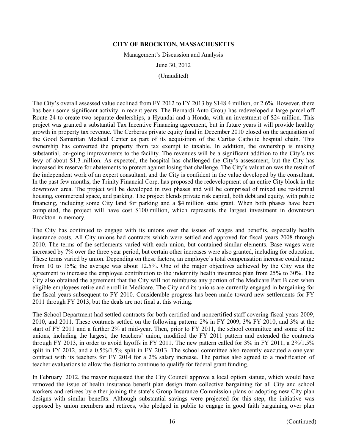Management's Discussion and Analysis

June 30, 2012

(Unaudited)

The City's overall assessed value declined from FY 2012 to FY 2013 by \$148.4 million, or 2.6%. However, there has been some significant activity in recent years. The Bernardi Auto Group has redeveloped a large parcel off Route 24 to create two separate dealerships, a Hyundai and a Honda, with an investment of \$24 million. This project was granted a substantial Tax Incentive Financing agreement, but in future years it will provide healthy growth in property tax revenue. The Cerberus private equity fund in December 2010 closed on the acquisition of the Good Samaritan Medical Center as part of its acquisition of the Caritas Catholic hospital chain. This ownership has converted the property from tax exempt to taxable. In addition, the ownership is making substantial, on-going improvements to the facility. The revenues will be a significant addition to the City's tax levy of about \$1.3 million. As expected, the hospital has challenged the City's assessment, but the City has increased its reserve for abatements to protect against losing that challenge. The City's valuation was the result of the independent work of an expert consultant, and the City is confident in the value developed by the consultant. In the past few months, the Trinity Financial Corp. has proposed the redevelopment of an entire City block in the downtown area. The project will be developed in two phases and will be comprised of mixed use residential housing, commercial space, and parking. The project blends private risk capital, both debt and equity, with public financing, including some City land for parking and a \$4 million state grant. When both phases have been completed, the project will have cost \$100 million, which represents the largest investment in downtown Brockton in memory.

The City has continued to engage with its unions over the issues of wages and benefits, especially health insurance costs. All City unions had contracts which were settled and approved for fiscal years 2008 through 2010. The terms of the settlements varied with each union, but contained similar elements. Base wages were increased by 7% over the three year period, but certain other increases were also granted, including for education. These terms varied by union. Depending on these factors, an employee's total compensation increase could range from 10 to 15%; the average was about 12.5%. One of the major objectives achieved by the City was the agreement to increase the employee contribution to the indemnity health insurance plan from 25% to 30%. The City also obtained the agreement that the City will not reimburse any portion of the Medicare Part B cost when eligible employees retire and enroll in Medicare. The City and its unions are currently engaged in bargaining for the fiscal years subsequent to FY 2010. Considerable progress has been made toward new settlements for FY 2011 through FY 2013, but the deals are not final at this writing.

The School Department had settled contracts for both certified and noncertified staff covering fiscal years 2009, 2010, and 2011. These contracts settled on the following pattern: 2% in FY 2009, 3% FY 2010, and 3% at the start of FY 2011 and a further 2% at mid-year. Then, prior to FY 2011, the school committee and some of the unions, including the largest, the teachers' union, modified the FY 2011 pattern and extended the contracts through FY 2013, in order to avoid layoffs in FY 2011. The new pattern called for 3% in FY 2011, a 2%/1.5% split in FY 2012, and a 0.5%/1.5% split in FY 2013. The school committee also recently executed a one year contract with its teachers for FY 2014 for a 2% salary increase. The parties also agreed to a modification of teacher evaluations to allow the district to continue to qualify for federal grant funding.

In February 2012, the mayor requested that the City Council approve a local option statute, which would have removed the issue of health insurance benefit plan design from collective bargaining for all City and school workers and retirees by either joining the state's Group Insurance Commission plans or adopting new City plan designs with similar benefits. Although substantial savings were projected for this step, the initiative was opposed by union members and retirees, who pledged in public to engage in good faith bargaining over plan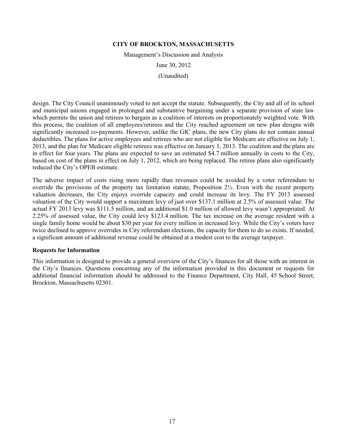Management's Discussion and Analysis

June 30, 2012

(Unaudited)

design. The City Council unanimously voted to not accept the statute. Subsequently, the City and all of its school and municipal unions engaged in prolonged and substantive bargaining under a separate provision of state law which permits the union and retirees to bargain as a coalition of interests on proportionately weighted vote. With this process, the coalition of all employees/retirees and the City reached agreement on new plan designs with significantly increased co-payments. However, unlike the GIC plans, the new City plans do not contain annual deductibles. The plans for active employees and retirees who are not eligible for Medicare are effective on July 1, 2013, and the plan for Medicare eligible retirees was effective on January 1, 2013. The coalition and the plans are in effect for four years. The plans are expected to save an estimated \$4.7 million annually in costs to the City, based on cost of the plans in effect on July 1, 2012, which are being replaced. The retiree plans also significantly reduced the City's OPEB estimate.

The adverse impact of costs rising more rapidly than revenues could be avoided by a voter referendum to override the provisions of the property tax limitation statute, Proposition 2½. Even with the recent property valuation decreases, the City enjoys override capacity and could increase its levy. The FY 2013 assessed valuation of the City would support a maximum levy of just over \$137.1 million at 2.5% of assessed value. The actual FY 2013 levy was \$111.5 million, and an additional \$1.0 million of allowed levy wasn't appropriated. At 2.25% of assessed value, the City could levy \$123.4 million. The tax increase on the average resident with a single family home would be about \$30 per year for every million in increased levy. While the City's voters have twice declined to approve overrides in City referendum elections, the capacity for them to do so exists. If needed, a significant amount of additional revenue could be obtained at a modest cost to the average taxpayer.

#### **Requests for Information**

This information is designed to provide a general overview of the City's finances for all those with an interest in the City's finances. Questions concerning any of the information provided in this document or requests for additional financial information should be addressed to the Finance Department, City Hall, 45 School Street, Brockton, Massachusetts 02301.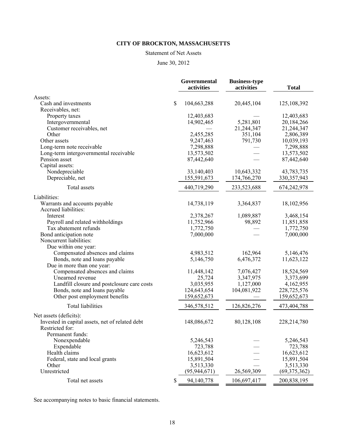## Statement of Net Assets

June 30, 2012

|                                                 | Governmental<br>activities | <b>Business-type</b><br>activities | <b>Total</b>   |
|-------------------------------------------------|----------------------------|------------------------------------|----------------|
| Assets:                                         |                            |                                    |                |
| Cash and investments                            | \$<br>104,663,288          | 20,445,104                         | 125, 108, 392  |
| Receivables, net:                               |                            |                                    |                |
| Property taxes                                  | 12,403,683                 |                                    | 12,403,683     |
| Intergovernmental                               | 14,902,465                 | 5,281,801                          | 20,184,266     |
| Customer receivables, net                       |                            | 21,244,347                         | 21,244,347     |
| Other                                           | 2,455,285                  | 351,104                            | 2,806,389      |
| Other assets                                    | 9,247,463                  | 791,730                            | 10,039,193     |
| Long-term note receivable                       | 7,298,888                  |                                    | 7,298,888      |
| Long-term intergovernmental receivable          | 13,573,502                 |                                    | 13,573,502     |
| Pension asset                                   | 87,442,640                 |                                    | 87,442,640     |
| Capital assets:                                 |                            |                                    |                |
| Nondepreciable                                  | 33,140,403                 | 10,643,332                         | 43,783,735     |
| Depreciable, net                                | 155,591,673                | 174,766,270                        | 330, 357, 943  |
| Total assets                                    | 440,719,290                | 233,523,688                        | 674,242,978    |
| Liabilities:                                    |                            |                                    |                |
| Warrants and accounts payable                   | 14,738,119                 | 3,364,837                          | 18,102,956     |
| Accrued liabilities:                            |                            |                                    |                |
| Interest                                        | 2,378,267                  | 1,089,887                          | 3,468,154      |
| Payroll and related withholdings                | 11,752,966                 | 98,892                             | 11,851,858     |
| Tax abatement refunds                           | 1,772,750                  |                                    | 1,772,750      |
| Bond anticipation note                          | 7,000,000                  |                                    | 7,000,000      |
| Noncurrent liabilities:                         |                            |                                    |                |
| Due within one year:                            |                            |                                    |                |
| Compensated absences and claims                 | 4,983,512                  | 162,964                            | 5,146,476      |
| Bonds, note and loans payable                   | 5,146,750                  | 6,476,372                          | 11,623,122     |
| Due in more than one year:                      |                            |                                    |                |
| Compensated absences and claims                 | 11,448,142                 | 7,076,427                          | 18,524,569     |
| Unearned revenue                                | 25,724                     | 3,347,975                          | 3,373,699      |
| Landfill closure and postclosure care costs     | 3,035,955                  | 1,127,000                          | 4,162,955      |
| Bonds, note and loans payable                   | 124,643,654                | 104,081,922                        | 228,725,576    |
| Other post employment benefits                  | 159,652,673                |                                    | 159,652,673    |
| Total liabilities                               | 346,578,512                | 126,826,276                        | 473,404,788    |
| Net assets (deficits):                          |                            |                                    |                |
| Invested in capital assets, net of related debt | 148,086,672                | 80,128,108                         | 228,214,780    |
| Restricted for:                                 |                            |                                    |                |
| Permanent funds:                                |                            |                                    |                |
| Nonexpendable                                   | 5,246,543                  |                                    | 5,246,543      |
| Expendable                                      | 723,788                    |                                    | 723,788        |
| Health claims                                   | 16,623,612                 |                                    | 16,623,612     |
| Federal, state and local grants                 | 15,891,504                 |                                    | 15,891,504     |
| Other                                           | 3,513,330                  |                                    | 3,513,330      |
| Unrestricted                                    | (95, 944, 671)             | 26,569,309                         | (69, 375, 362) |
| Total net assets                                | \$<br>94,140,778           | 106,697,417                        | 200,838,195    |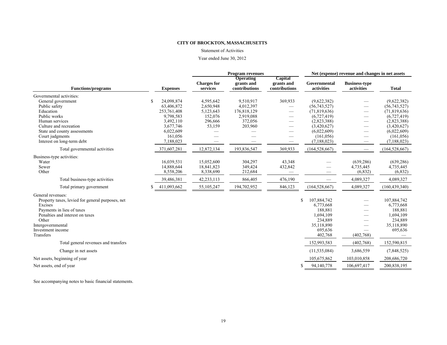#### Statement of Activities

#### Year ended June 30, 2012

|                                                                                                                                                                                                                                                          |                   |                                | <b>Program revenues</b>                  | Net (expense) revenue and changes in net assets |                                                                                                                     |                                                         |                                                                                                     |
|----------------------------------------------------------------------------------------------------------------------------------------------------------------------------------------------------------------------------------------------------------|-------------------|--------------------------------|------------------------------------------|-------------------------------------------------|---------------------------------------------------------------------------------------------------------------------|---------------------------------------------------------|-----------------------------------------------------------------------------------------------------|
| <b>Functions/programs</b>                                                                                                                                                                                                                                | <b>Expenses</b>   | <b>Charges for</b><br>services | Operating<br>grants and<br>contributions | Capital<br>grants and<br>contributions          | Governmental<br>activities                                                                                          | <b>Business-type</b><br>activities                      | <b>Total</b>                                                                                        |
| Governmental activities:                                                                                                                                                                                                                                 |                   |                                |                                          |                                                 |                                                                                                                     |                                                         |                                                                                                     |
| General government                                                                                                                                                                                                                                       | 24,098,874<br>\$. | 4,595,642                      | 9,510,917                                | 369,933                                         | (9,622,382)                                                                                                         |                                                         | (9,622,382)                                                                                         |
| Public safety                                                                                                                                                                                                                                            | 63,406,872        | 2,650,948                      | 4,012,397                                |                                                 | (56,743,527)                                                                                                        |                                                         | (56,743,527)                                                                                        |
| Education                                                                                                                                                                                                                                                | 253,761,408       | 5,123,643                      | 176,818,129                              | $\overline{\phantom{0}}$                        | (71,819,636)                                                                                                        | $\overline{\phantom{0}}$                                | (71,819,636)                                                                                        |
| Public works                                                                                                                                                                                                                                             | 9,798,583         | 152,076                        | 2,919,088                                |                                                 | (6,727,419)                                                                                                         |                                                         | (6,727,419)                                                                                         |
| Human services                                                                                                                                                                                                                                           | 3,492,110         | 296,666                        | 372,056                                  | $\overline{\phantom{0}}$                        | (2,823,388)                                                                                                         | --                                                      | (2,823,388)                                                                                         |
| Culture and recreation                                                                                                                                                                                                                                   | 3,677,746         | 53,159                         | 203,960                                  |                                                 | (3,420,627)                                                                                                         |                                                         | (3,420,627)                                                                                         |
| State and county assessments                                                                                                                                                                                                                             | 6,022,609         |                                |                                          | $\overline{\phantom{0}}$                        | (6,022,609)                                                                                                         | $\overline{\phantom{0}}$                                | (6,022,609)                                                                                         |
| Court judgments                                                                                                                                                                                                                                          | 161,056           |                                |                                          |                                                 | (161, 056)                                                                                                          |                                                         | (161, 056)                                                                                          |
| Interest on long-term debt                                                                                                                                                                                                                               | 7,188,023         |                                |                                          | $\overline{\phantom{0}}$                        | (7, 188, 023)                                                                                                       | $\overline{\phantom{0}}$                                | (7,188,023)                                                                                         |
| Total governmental activities                                                                                                                                                                                                                            | 371,607,281       | 12,872,134                     | 193,836,547                              | 369,933                                         | (164, 528, 667)                                                                                                     | $\overline{\phantom{0}}$                                | (164, 528, 667)                                                                                     |
| Business-type activities:                                                                                                                                                                                                                                |                   |                                |                                          |                                                 |                                                                                                                     |                                                         |                                                                                                     |
| Water                                                                                                                                                                                                                                                    | 16,039,531        | 15,052,600                     | 304,297                                  | 43,348                                          |                                                                                                                     | (639, 286)                                              | (639, 286)                                                                                          |
| Sewer                                                                                                                                                                                                                                                    | 14,888,644        | 18,841,823                     | 349,424                                  | 432,842                                         |                                                                                                                     | 4,735,445                                               | 4,735,445                                                                                           |
| Other                                                                                                                                                                                                                                                    | 8,558,206         | 8,338,690                      | 212,684                                  |                                                 |                                                                                                                     | (6, 832)                                                | (6,832)                                                                                             |
| Total business-type activities                                                                                                                                                                                                                           | 39,486,381        | 42,233,113                     | 866,405                                  | 476,190                                         |                                                                                                                     | 4,089,327                                               | 4,089,327                                                                                           |
| Total primary government                                                                                                                                                                                                                                 | 411,093,662       | 55,105,247                     | 194,702,952                              | 846,123                                         | (164, 528, 667)                                                                                                     | 4,089,327                                               | (160, 439, 340)                                                                                     |
| General revenues:<br>Property taxes, levied for general purposes, net<br>Excises<br>Payments in lieu of taxes<br>Penalties and interest on taxes<br>Other<br>Intergovernmental<br>Investment income<br>Transfers<br>Total general revenues and transfers |                   |                                |                                          |                                                 | S<br>107,884,742<br>6,773,668<br>188,881<br>1,694,109<br>234,889<br>35,118,890<br>695,636<br>402,768<br>152,993,583 | _<br>$\overline{\phantom{0}}$<br>(402,768)<br>(402,768) | 107,884,742<br>6,773,668<br>188,881<br>1,694,109<br>234,889<br>35,118,890<br>695,636<br>152,590,815 |
| Change in net assets                                                                                                                                                                                                                                     |                   |                                |                                          |                                                 | (11, 535, 084)                                                                                                      | 3,686,559                                               | (7,848,525)                                                                                         |
| Net assets, beginning of year                                                                                                                                                                                                                            |                   |                                |                                          |                                                 | 105,675,862                                                                                                         | 103,010,858                                             | 208,686,720                                                                                         |
| Net assets, end of year                                                                                                                                                                                                                                  |                   |                                |                                          |                                                 | 94,140,778<br>S                                                                                                     | 106,697,417                                             | 200,838,195                                                                                         |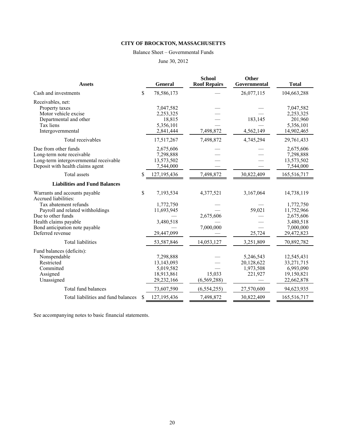## Balance Sheet – Governmental Funds

June 30, 2012

| <b>Assets</b>                                                                                                                         |    | <b>General</b>                                                   | <b>School</b><br><b>Roof Repairs</b> | <b>Other</b><br>Governmental                    | <b>Total</b>                                                      |
|---------------------------------------------------------------------------------------------------------------------------------------|----|------------------------------------------------------------------|--------------------------------------|-------------------------------------------------|-------------------------------------------------------------------|
| Cash and investments                                                                                                                  | \$ | 78,586,173                                                       |                                      | 26,077,115                                      | 104,663,288                                                       |
| Receivables, net:<br>Property taxes<br>Motor vehicle excise<br>Departmental and other<br>Tax liens<br>Intergovernmental               |    | 7,047,582<br>2,253,325<br>18,815<br>5,356,101<br>2,841,444       | 7,498,872                            | 183,145<br>4,562,149                            | 7,047,582<br>2,253,325<br>201,960<br>5,356,101<br>14,902,465      |
| Total receivables                                                                                                                     |    | 17,517,267                                                       | 7,498,872                            | 4,745,294                                       | 29,761,433                                                        |
| Due from other funds<br>Long-term note receivable<br>Long-term intergovernmental receivable<br>Deposit with health claims agent       |    | 2,675,606<br>7,298,888<br>13,573,502<br>7,544,000                |                                      |                                                 | 2,675,606<br>7,298,888<br>13,573,502<br>7,544,000                 |
| Total assets                                                                                                                          | \$ | 127, 195, 436                                                    | 7,498,872                            | 30,822,409                                      | 165,516,717                                                       |
| <b>Liabilities and Fund Balances</b>                                                                                                  |    |                                                                  |                                      |                                                 |                                                                   |
| Warrants and accounts payable<br>Accrued liabilities:<br>Tax abatement refunds                                                        | \$ | 7,193,534<br>1,772,750                                           | 4,377,521                            | 3,167,064                                       | 14,738,119<br>1,772,750                                           |
| Payroll and related withholdings<br>Due to other funds<br>Health claims payable<br>Bond anticipation note payable<br>Deferred revenue |    | 11,693,945<br>3,480,518<br>29,447,099                            | 2,675,606<br>7,000,000               | 59,021<br>25,724                                | 11,752,966<br>2,675,606<br>3,480,518<br>7,000,000<br>29,472,823   |
| <b>Total liabilities</b>                                                                                                              |    | 53,587,846                                                       | 14,053,127                           | 3,251,809                                       | 70,892,782                                                        |
| Fund balances (deficits):<br>Nonspendable<br>Restricted<br>Committed<br>Assigned<br>Unassigned                                        |    | 7,298,888<br>13,143,093<br>5,019,582<br>18,913,861<br>29,232,166 | 15,033<br>(6, 569, 288)              | 5,246,543<br>20,128,622<br>1,973,508<br>221,927 | 12,545,431<br>33,271,715<br>6,993,090<br>19,150,821<br>22,662,878 |
| Total fund balances                                                                                                                   |    | 73,607,590                                                       | (6, 554, 255)                        | 27,570,600                                      | 94,623,935                                                        |
| Total liabilities and fund balances                                                                                                   | S  | 127, 195, 436                                                    | 7,498,872                            | 30,822,409                                      | 165,516,717                                                       |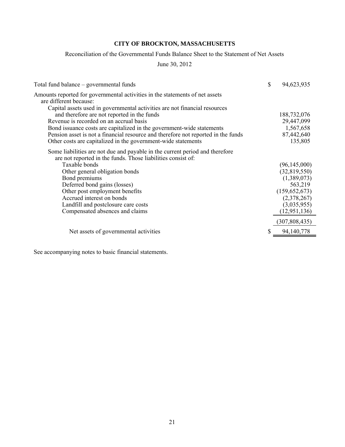## Reconciliation of the Governmental Funds Balance Sheet to the Statement of Net Assets

## June 30, 2012

| Total fund balance – governmental funds                                                                                                      | \$<br>94,623,935 |
|----------------------------------------------------------------------------------------------------------------------------------------------|------------------|
| Amounts reported for governmental activities in the statements of net assets<br>are different because:                                       |                  |
| Capital assets used in governmental activities are not financial resources                                                                   |                  |
| and therefore are not reported in the funds                                                                                                  | 188,732,076      |
| Revenue is recorded on an accrual basis                                                                                                      | 29,447,099       |
| Bond issuance costs are capitalized in the government-wide statements                                                                        | 1,567,658        |
| Pension asset is not a financial resource and therefore not reported in the funds                                                            | 87,442,640       |
| Other costs are capitalized in the government-wide statements                                                                                | 135,805          |
| Some liabilities are not due and payable in the current period and therefore<br>are not reported in the funds. Those liabilities consist of: |                  |
| Taxable bonds                                                                                                                                | (96, 145, 000)   |
| Other general obligation bonds                                                                                                               | (32,819,550)     |
| Bond premiums                                                                                                                                | (1,389,073)      |
| Deferred bond gains (losses)                                                                                                                 | 563,219          |
| Other post employment benefits                                                                                                               | (159, 652, 673)  |
| Accrued interest on bonds                                                                                                                    | (2,378,267)      |
| Landfill and postclosure care costs                                                                                                          | (3,035,955)      |
| Compensated absences and claims                                                                                                              | (12, 951, 136)   |
|                                                                                                                                              | (307, 808, 435)  |
| Net assets of governmental activities                                                                                                        | \$<br>94,140,778 |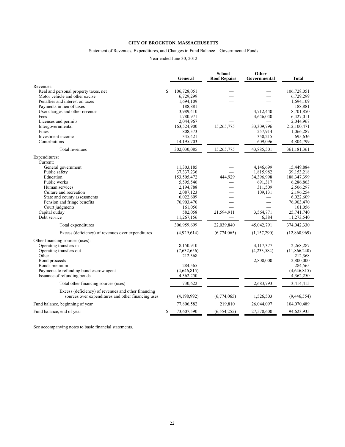## Statement of Revenues, Expenditures, and Changes in Fund Balance – Governmental Funds

#### Year ended June 30, 2012

|                                                     |    |                | <b>School</b>       | Other                    |               |
|-----------------------------------------------------|----|----------------|---------------------|--------------------------|---------------|
|                                                     |    | <b>General</b> | <b>Roof Repairs</b> | Governmental             | <b>Total</b>  |
| Revenues:                                           |    |                |                     |                          |               |
| Real and personal property taxes, net               | S  | 106,728,051    |                     |                          | 106,728,051   |
| Motor vehicle and other excise                      |    | 6,729,299      |                     |                          | 6,729,299     |
| Penalties and interest on taxes                     |    | 1,694,109      |                     |                          | 1,694,109     |
| Payments in lieu of taxes                           |    | 188,881        |                     |                          | 188,881       |
| User charges and other revenue                      |    | 3,989,410      |                     | 4,712,440                | 8,701,850     |
| Fees                                                |    | 1,780,971      |                     | 4,646,040                | 6,427,011     |
| Licenses and permits                                |    | 2,044,967      |                     |                          | 2,044,967     |
| Intergovernmental                                   |    | 163,524,900    | 15,265,775          | 33,309,796               | 212,100,471   |
| Fines                                               |    | 808,373        |                     | 257,914                  | 1,066,287     |
| Investment income                                   |    | 345,421        |                     | 350,215                  | 695,636       |
| Contributions                                       |    | 14, 195, 703   |                     | 609,096                  | 14,804,799    |
| Total revenues                                      |    | 302,030,085    | 15,265,775          | 43,885,501               | 361,181,361   |
| Expenditures:                                       |    |                |                     |                          |               |
| Current:                                            |    |                |                     |                          |               |
| General government                                  |    | 11,303,185     |                     | 4,146,699                | 15,449,884    |
| Public safety                                       |    | 37, 337, 236   |                     | 1,815,982                | 39, 153, 218  |
| Education                                           |    | 153,505,472    | 444.929             | 34,396,998               | 188, 347, 399 |
| Public works                                        |    | 5,595,546      |                     | 691,317                  | 6,286,863     |
| Human services                                      |    | 2,194,788      |                     | 311,509                  | 2,506,297     |
| Culture and recreation                              |    | 2,087,123      |                     | 109,131                  | 2,196,254     |
| State and county assessments                        |    | 6,022,609      |                     |                          | 6,022,609     |
| Pension and fringe benefits                         |    | 76,903,470     |                     | $\overline{\phantom{0}}$ | 76,903,470    |
| Court judgments                                     |    | 161,056        |                     |                          | 161,056       |
| Capital outlay                                      |    | 582,058        | 21,594,911          | 3,564,771                | 25,741,740    |
| Debt service                                        |    | 11,267,156     |                     | 6,384                    | 11,273,540    |
| Total expenditures                                  |    | 306,959,699    | 22,039,840          | 45,042,791               | 374,042,330   |
| Excess (deficiency) of revenues over expenditures   |    | (4,929,614)    | (6,774,065)         | (1, 157, 290)            | (12,860,969)  |
| Other financing sources (uses):                     |    |                |                     |                          |               |
| Operating transfers in                              |    | 8,150,910      |                     | 4,117,377                | 12,268,287    |
| Operating transfers out                             |    | (7,632,656)    |                     | (4,233,584)              | (11,866,240)  |
| Other                                               |    | 212,368        |                     |                          | 212,368       |
| Bond proceeds                                       |    |                |                     | 2,800,000                | 2,800,000     |
| Bonds premium                                       |    | 284.565        |                     |                          | 284,565       |
| Payments to refunding bond escrow agent             |    | (4,646,815)    |                     |                          | (4,646,815)   |
| Issuance of refunding bonds                         |    | 4,362,250      |                     |                          | 4,362,250     |
| Total other financing sources (uses)                |    | 730,622        |                     | 2,683,793                | 3,414,415     |
| Excess (deficiency) of revenues and other financing |    |                |                     |                          |               |
| sources over expenditures and other financing uses  |    | (4,198,992)    | (6,774,065)         | 1,526,503                | (9,446,554)   |
| Fund balance, beginning of year                     |    | 77,806,582     | 219,810             | 26,044,097               | 104,070,489   |
| Fund balance, end of year                           | \$ | 73,607,590     | (6, 554, 255)       | 27,570,600               | 94,623,935    |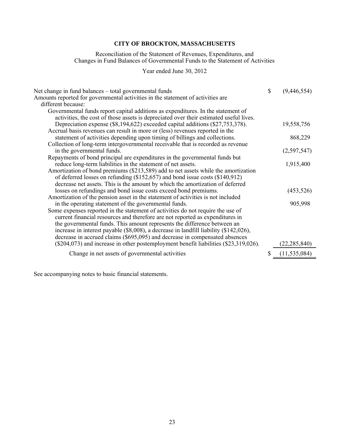## Reconciliation of the Statement of Revenues, Expenditures, and Changes in Fund Balances of Governmental Funds to the Statement of Activities

## Year ended June 30, 2012

| Net change in fund balances – total governmental funds<br>Amounts reported for governmental activities in the statement of activities are<br>different because:         | \$<br>(9,446,554)    |
|-------------------------------------------------------------------------------------------------------------------------------------------------------------------------|----------------------|
| Governmental funds report capital additions as expenditures. In the statement of                                                                                        |                      |
| activities, the cost of those assets is depreciated over their estimated useful lives.<br>Depreciation expense (\$8,194,622) exceeded capital additions (\$27,753,378). | 19,558,756           |
| Accrual basis revenues can result in more or (less) revenues reported in the<br>statement of activities depending upon timing of billings and collections.              | 868,229              |
| Collection of long-term intergovernmental receivable that is recorded as revenue<br>in the governmental funds.                                                          | (2,597,547)          |
| Repayments of bond principal are expenditures in the governmental funds but<br>reduce long-term liabilities in the statement of net assets.                             | 1,915,400            |
| Amortization of bond premiums (\$213,589) add to net assets while the amortization<br>of deferred losses on refunding (\$152,657) and bond issue costs (\$140,912)      |                      |
| decrease net assets. This is the amount by which the amortization of deferred<br>losses on refundings and bond issue costs exceed bond premiums.                        | (453, 526)           |
| Amortization of the pension asset in the statement of activities is not included<br>in the operating statement of the governmental funds.                               | 905,998              |
| Some expenses reported in the statement of activities do not require the use of<br>current financial resources and therefore are not reported as expenditures in        |                      |
| the governmental funds. This amount represents the difference between an<br>increase in interest payable (\$8,008), a decrease in landfill liability (\$142,026),       |                      |
| decrease in accrued claims (\$695,095) and decrease in compensated absences<br>(\$204,073) and increase in other postemployment benefit liabilities (\$23,319,026).     | (22, 285, 840)       |
| Change in net assets of governmental activities                                                                                                                         | \$<br>(11, 535, 084) |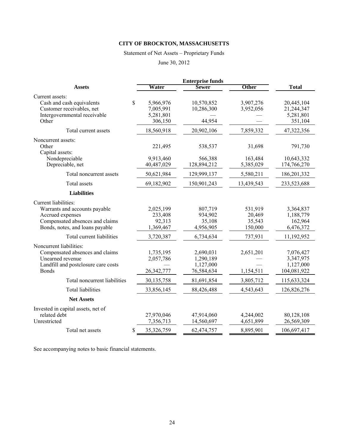## Statement of Net Assets – Proprietary Funds

June 30, 2012

|                                     |                  | <b>Enterprise funds</b> |            |              |
|-------------------------------------|------------------|-------------------------|------------|--------------|
| <b>Assets</b>                       | Water            | <b>Sewer</b>            | Other      | <b>Total</b> |
| Current assets:                     |                  |                         |            |              |
| Cash and cash equivalents           | \$<br>5,966,976  | 10,570,852              | 3,907,276  | 20,445,104   |
| Customer receivables, net           | 7,005,991        | 10,286,300              | 3,952,056  | 21,244,347   |
| Intergovernmental receivable        | 5,281,801        |                         |            | 5,281,801    |
| Other                               | 306,150          | 44,954                  |            | 351,104      |
| Total current assets                | 18,560,918       | 20,902,106              | 7,859,332  | 47,322,356   |
| Noncurrent assets:                  |                  |                         |            |              |
| Other                               | 221,495          | 538,537                 | 31,698     | 791,730      |
| Capital assets:                     |                  |                         |            |              |
| Nondepreciable                      | 9,913,460        | 566,388                 | 163,484    | 10,643,332   |
| Depreciable, net                    | 40,487,029       | 128,894,212             | 5,385,029  | 174,766,270  |
| Total noncurrent assets             | 50,621,984       | 129,999,137             | 5,580,211  | 186,201,332  |
| Total assets                        | 69,182,902       | 150,901,243             | 13,439,543 | 233,523,688  |
| <b>Liabilities</b>                  |                  |                         |            |              |
| Current liabilities:                |                  |                         |            |              |
| Warrants and accounts payable       | 2,025,199        | 807,719                 | 531,919    | 3,364,837    |
| Accrued expenses                    | 233,408          | 934,902                 | 20,469     | 1,188,779    |
| Compensated absences and claims     | 92,313           | 35,108                  | 35,543     | 162,964      |
| Bonds, notes, and loans payable     | 1,369,467        | 4,956,905               | 150,000    | 6,476,372    |
| Total current liabilities           | 3,720,387        | 6,734,634               | 737,931    | 11,192,952   |
| Noncurrent liabilities:             |                  |                         |            |              |
| Compensated absences and claims     | 1,735,195        | 2,690,031               | 2,651,201  | 7,076,427    |
| Unearned revenue                    | 2,057,786        | 1,290,189               |            | 3,347,975    |
| Landfill and postclosure care costs |                  | 1,127,000               |            | 1,127,000    |
| <b>Bonds</b>                        | 26,342,777       | 76,584,634              | 1,154,511  | 104,081,922  |
| Total noncurrent liabilities        | 30,135,758       | 81,691,854              | 3,805,712  | 115,633,324  |
| <b>Total liabilities</b>            | 33,856,145       | 88,426,488              | 4,543,643  | 126,826,276  |
| <b>Net Assets</b>                   |                  |                         |            |              |
| Invested in capital assets, net of  |                  |                         |            |              |
| related debt                        | 27,970,046       | 47,914,060              | 4,244,002  | 80,128,108   |
| Unrestricted                        | 7,356,713        | 14,560,697              | 4,651,899  | 26,569,309   |
| Total net assets                    | \$<br>35,326,759 | 62,474,757              | 8,895,901  | 106,697,417  |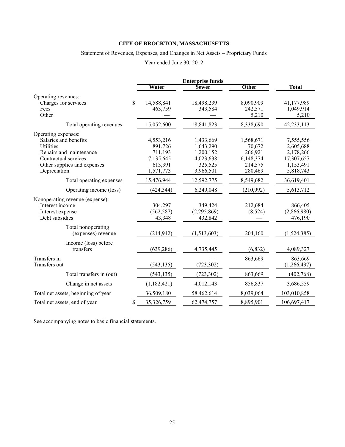## Statement of Revenues, Expenses, and Changes in Net Assets – Proprietary Funds

Year ended June 30, 2012

|                                     |                  | <b>Enterprise funds</b> |           |              |
|-------------------------------------|------------------|-------------------------|-----------|--------------|
|                                     | Water            | <b>Sewer</b>            | Other     | <b>Total</b> |
| Operating revenues:                 |                  |                         |           |              |
| Charges for services                | \$<br>14,588,841 | 18,498,239              | 8,090,909 | 41,177,989   |
| Fees                                | 463,759          | 343,584                 | 242,571   | 1,049,914    |
| Other                               |                  |                         | 5,210     | 5,210        |
| Total operating revenues            | 15,052,600       | 18,841,823              | 8,338,690 | 42, 233, 113 |
| Operating expenses:                 |                  |                         |           |              |
| Salaries and benefits               | 4,553,216        | 1,433,669               | 1,568,671 | 7,555,556    |
| <b>Utilities</b>                    | 891,726          | 1,643,290               | 70,672    | 2,605,688    |
| Repairs and maintenance             | 711,193          | 1,200,152               | 266,921   | 2,178,266    |
| Contractual services                | 7,135,645        | 4,023,638               | 6,148,374 | 17,307,657   |
| Other supplies and expenses         | 613,391          | 325,525                 | 214,575   | 1,153,491    |
| Depreciation                        | 1,571,773        | 3,966,501               | 280,469   | 5,818,743    |
| Total operating expenses            | 15,476,944       | 12,592,775              | 8,549,682 | 36,619,401   |
| Operating income (loss)             | (424, 344)       | 6,249,048               | (210,992) | 5,613,712    |
| Nonoperating revenue (expense):     |                  |                         |           |              |
| Interest income                     | 304,297          | 349,424                 | 212,684   | 866,405      |
| Interest expense                    | (562, 587)       | (2,295,869)             | (8,524)   | (2,866,980)  |
| Debt subsidies                      | 43,348           | 432,842                 |           | 476,190      |
| Total nonoperating                  |                  |                         |           |              |
| (expenses) revenue                  | (214, 942)       | (1,513,603)             | 204,160   | (1,524,385)  |
| Income (loss) before                |                  |                         |           |              |
| transfers                           | (639, 286)       | 4,735,445               | (6, 832)  | 4,089,327    |
| Transfers in                        |                  |                         | 863,669   | 863,669      |
| Transfers out                       | (543, 135)       | (723, 302)              |           | (1,266,437)  |
| Total transfers in (out)            | (543, 135)       | (723, 302)              | 863,669   | (402,768)    |
| Change in net assets                | (1,182,421)      | 4,012,143               | 856,837   | 3,686,559    |
| Total net assets, beginning of year | 36,509,180       | 58,462,614              | 8,039,064 | 103,010,858  |
| Total net assets, end of year       | \$<br>35,326,759 | 62,474,757              | 8,895,901 | 106,697,417  |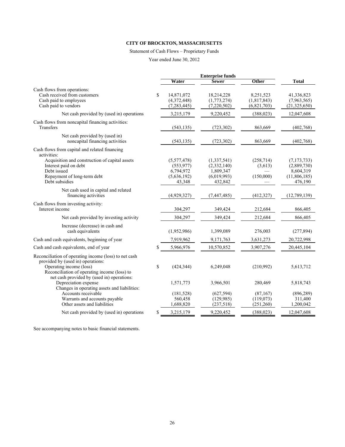## Statement of Cash Flows – Proprietary Funds

Year ended June 30, 2012

|                                                                                                                                                                                                                     | <b>Enterprise funds</b> |                                                                 |                                                                   |                                         |                                                                      |
|---------------------------------------------------------------------------------------------------------------------------------------------------------------------------------------------------------------------|-------------------------|-----------------------------------------------------------------|-------------------------------------------------------------------|-----------------------------------------|----------------------------------------------------------------------|
|                                                                                                                                                                                                                     |                         | Water                                                           | <b>Sewer</b>                                                      | Other                                   | <b>Total</b>                                                         |
| Cash flows from operations:<br>Cash received from customers<br>Cash paid to employees<br>Cash paid to vendors                                                                                                       | \$                      | 14,871,072<br>(4,372,448)<br>(7, 283, 445)                      | 18,214,228<br>(1,773,274)<br>(7,220,502)                          | 8,251,523<br>(1,817,843)<br>(6,821,703) | 41,336,823<br>(7,963,565)<br>(21, 325, 650)                          |
| Net cash provided by (used in) operations                                                                                                                                                                           |                         | 3,215,179                                                       | 9,220,452                                                         | (388, 023)                              | 12,047,608                                                           |
| Cash flows from noncapital financing activities:<br>Transfers                                                                                                                                                       |                         | (543, 135)                                                      | (723, 302)                                                        | 863,669                                 | (402,768)                                                            |
| Net cash provided by (used in)<br>noncapital financing activities                                                                                                                                                   |                         | (543, 135)                                                      | (723, 302)                                                        | 863,669                                 | (402,768)                                                            |
| Cash flows from capital and related financing<br>activities:<br>Acquisition and construction of capital assets<br>Interest paid on debt<br>Debt issued<br>Repayment of long-term debt<br>Debt subsidies             |                         | (5,577,478)<br>(553, 977)<br>6,794,972<br>(5,636,192)<br>43,348 | (1,337,541)<br>(2,332,140)<br>1,809,347<br>(6,019,993)<br>432,842 | (258, 714)<br>(3,613)<br>(150,000)      | (7, 173, 733)<br>(2,889,730)<br>8,604,319<br>(11,806,185)<br>476,190 |
| Net cash used in capital and related<br>financing activities                                                                                                                                                        |                         | (4,929,327)                                                     | (7, 447, 485)                                                     | (412,327)                               | (12, 789, 139)                                                       |
| Cash flows from investing activity:<br>Interest income                                                                                                                                                              |                         | 304,297                                                         | 349,424                                                           | 212,684                                 | 866,405                                                              |
| Net cash provided by investing activity                                                                                                                                                                             |                         | 304,297                                                         | 349,424                                                           | 212,684                                 | 866,405                                                              |
| Increase (decrease) in cash and<br>cash equivalents                                                                                                                                                                 |                         | (1,952,986)                                                     | 1,399,089                                                         | 276,003                                 | (277, 894)                                                           |
| Cash and cash equivalents, beginning of year                                                                                                                                                                        |                         | 7,919,962                                                       | 9,171,763                                                         | 3,631,273                               | 20,722,998                                                           |
| Cash and cash equivalents, end of year                                                                                                                                                                              | S                       | 5,966,976                                                       | 10,570,852                                                        | 3,907,276                               | 20,445,104                                                           |
| Reconciliation of operating income (loss) to net cash<br>provided by (used in) operations:<br>Operating income (loss)<br>Reconciliation of operating income (loss) to<br>net cash provided by (used in) operations: | \$                      | (424, 344)                                                      | 6,249,048                                                         | (210,992)                               | 5,613,712                                                            |
| Depreciation expense                                                                                                                                                                                                |                         | 1,571,773                                                       | 3,966,501                                                         | 280,469                                 | 5,818,743                                                            |
| Changes in operating assets and liabilities:<br>Accounts receivable<br>Warrants and accounts payable<br>Other assets and liabilities                                                                                |                         | (181, 528)<br>560,458<br>1,688,820                              | (627, 594)<br>(129, 985)<br>(237,518)                             | (87, 167)<br>(119,073)<br>(251, 260)    | (896, 289)<br>311,400<br>1,200,042                                   |
| Net cash provided by (used in) operations                                                                                                                                                                           | \$                      | 3,215,179                                                       | 9,220,452                                                         | (388, 023)                              | 12.047.608                                                           |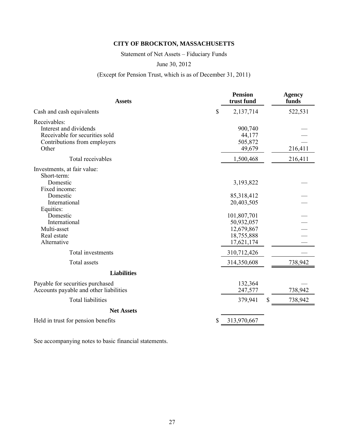Statement of Net Assets – Fiduciary Funds

## June 30, 2012

## (Except for Pension Trust, which is as of December 31, 2011)

| <b>Assets</b>                                                                                                     | <b>Pension</b><br>trust fund                                        | <b>Agency</b><br>funds |
|-------------------------------------------------------------------------------------------------------------------|---------------------------------------------------------------------|------------------------|
| Cash and cash equivalents                                                                                         | \$<br>2,137,714                                                     | 522,531                |
| Receivables:<br>Interest and dividends<br>Receivable for securities sold<br>Contributions from employers<br>Other | 900,740<br>44,177<br>505,872<br>49,679                              | 216,411                |
| Total receivables                                                                                                 | 1,500,468                                                           | 216,411                |
| Investments, at fair value:<br>Short-term:<br>Domestic                                                            | 3,193,822                                                           |                        |
| Fixed income:<br>Domestic<br>International<br>Equities:                                                           | 85,318,412<br>20,403,505                                            |                        |
| Domestic<br>International<br>Multi-asset<br>Real estate<br>Alternative                                            | 101,807,701<br>50,932,057<br>12,679,867<br>18,755,888<br>17,621,174 |                        |
| Total investments                                                                                                 | 310,712,426                                                         |                        |
| <b>Total assets</b>                                                                                               | 314,350,608                                                         | 738,942                |
| <b>Liabilities</b>                                                                                                |                                                                     |                        |
| Payable for securities purchased<br>Accounts payable and other liabilities                                        | 132,364<br>247,577                                                  | 738,942                |
| <b>Total liabilities</b>                                                                                          | 379,941                                                             | 738,942<br>\$          |
| <b>Net Assets</b>                                                                                                 |                                                                     |                        |
| Held in trust for pension benefits                                                                                | 313,970,667<br>\$                                                   |                        |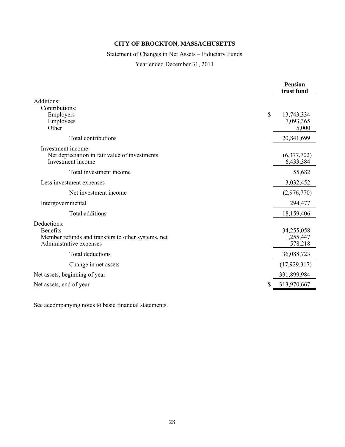## Statement of Changes in Net Assets – Fiduciary Funds

Year ended December 31, 2011

|                                                                                                                 | <b>Pension</b><br>trust fund           |
|-----------------------------------------------------------------------------------------------------------------|----------------------------------------|
| Additions:<br>Contributions:                                                                                    |                                        |
| Employers<br>Employees<br>Other                                                                                 | \$<br>13,743,334<br>7,093,365<br>5,000 |
| Total contributions                                                                                             | 20,841,699                             |
| Investment income:<br>Net depreciation in fair value of investments<br>Investment income                        | (6,377,702)<br>6,433,384               |
| Total investment income                                                                                         | 55,682                                 |
| Less investment expenses                                                                                        | 3,032,452                              |
| Net investment income                                                                                           | (2,976,770)                            |
| Intergovernmental                                                                                               | 294,477                                |
| Total additions                                                                                                 | 18,159,406                             |
| Deductions:<br><b>Benefits</b><br>Member refunds and transfers to other systems, net<br>Administrative expenses | 34,255,058<br>1,255,447<br>578,218     |
| Total deductions                                                                                                | 36,088,723                             |
| Change in net assets                                                                                            | (17, 929, 317)                         |
| Net assets, beginning of year                                                                                   | 331,899,984                            |
| Net assets, end of year                                                                                         | \$<br>313,970,667                      |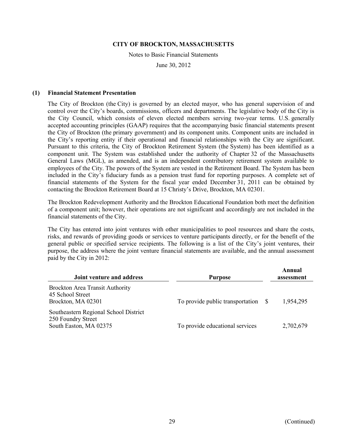Notes to Basic Financial Statements

June 30, 2012

### **(1) Financial Statement Presentation**

The City of Brockton (the City) is governed by an elected mayor, who has general supervision of and control over the City's boards, commissions, officers and departments. The legislative body of the City is the City Council, which consists of eleven elected members serving two-year terms. U.S. generally accepted accounting principles (GAAP) requires that the accompanying basic financial statements present the City of Brockton (the primary government) and its component units. Component units are included in the City's reporting entity if their operational and financial relationships with the City are significant. Pursuant to this criteria, the City of Brockton Retirement System (the System) has been identified as a component unit. The System was established under the authority of Chapter 32 of the Massachusetts General Laws (MGL), as amended, and is an independent contributory retirement system available to employees of the City. The powers of the System are vested in the Retirement Board. The System has been included in the City's fiduciary funds as a pension trust fund for reporting purposes. A complete set of financial statements of the System for the fiscal year ended December 31, 2011 can be obtained by contacting the Brockton Retirement Board at 15 Christy's Drive, Brockton, MA 02301.

The Brockton Redevelopment Authority and the Brockton Educational Foundation both meet the definition of a component unit; however, their operations are not significant and accordingly are not included in the financial statements of the City.

The City has entered into joint ventures with other municipalities to pool resources and share the costs, risks, and rewards of providing goods or services to venture participants directly, or for the benefit of the general public or specified service recipients. The following is a list of the City's joint ventures, their purpose, the address where the joint venture financial statements are available, and the annual assessment paid by the City in 2012:

| Joint venture and address                                                             | <b>Purpose</b>                   | Annual<br>assessment |
|---------------------------------------------------------------------------------------|----------------------------------|----------------------|
| Brockton Area Transit Authority<br>45 School Street<br>Brockton, MA 02301             | To provide public transportation | 1,954,295            |
| Southeastern Regional School District<br>250 Foundry Street<br>South Easton, MA 02375 | To provide educational services  | 2,702,679            |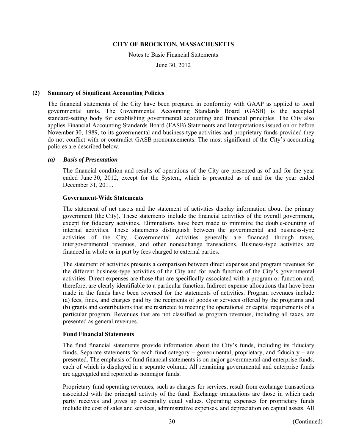Notes to Basic Financial Statements

June 30, 2012

## **(2) Summary of Significant Accounting Policies**

The financial statements of the City have been prepared in conformity with GAAP as applied to local governmental units. The Governmental Accounting Standards Board (GASB) is the accepted standard-setting body for establishing governmental accounting and financial principles. The City also applies Financial Accounting Standards Board (FASB) Statements and Interpretations issued on or before November 30, 1989, to its governmental and business-type activities and proprietary funds provided they do not conflict with or contradict GASB pronouncements. The most significant of the City's accounting policies are described below.

## *(a) Basis of Presentation*

The financial condition and results of operations of the City are presented as of and for the year ended June 30, 2012, except for the System, which is presented as of and for the year ended December 31, 2011.

## **Government-Wide Statements**

The statement of net assets and the statement of activities display information about the primary government (the City). These statements include the financial activities of the overall government, except for fiduciary activities. Eliminations have been made to minimize the double-counting of internal activities. These statements distinguish between the governmental and business-type activities of the City. Governmental activities generally are financed through taxes, intergovernmental revenues, and other nonexchange transactions. Business-type activities are financed in whole or in part by fees charged to external parties.

The statement of activities presents a comparison between direct expenses and program revenues for the different business-type activities of the City and for each function of the City's governmental activities. Direct expenses are those that are specifically associated with a program or function and, therefore, are clearly identifiable to a particular function. Indirect expense allocations that have been made in the funds have been reversed for the statements of activities. Program revenues include (a) fees, fines, and charges paid by the recipients of goods or services offered by the programs and (b) grants and contributions that are restricted to meeting the operational or capital requirements of a particular program. Revenues that are not classified as program revenues, including all taxes, are presented as general revenues.

#### **Fund Financial Statements**

The fund financial statements provide information about the City's funds, including its fiduciary funds. Separate statements for each fund category – governmental, proprietary, and fiduciary – are presented. The emphasis of fund financial statements is on major governmental and enterprise funds, each of which is displayed in a separate column. All remaining governmental and enterprise funds are aggregated and reported as nonmajor funds.

Proprietary fund operating revenues, such as charges for services, result from exchange transactions associated with the principal activity of the fund. Exchange transactions are those in which each party receives and gives up essentially equal values. Operating expenses for proprietary funds include the cost of sales and services, administrative expenses, and depreciation on capital assets. All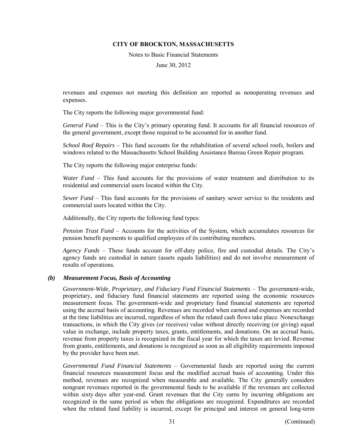Notes to Basic Financial Statements

June 30, 2012

revenues and expenses not meeting this definition are reported as nonoperating revenues and expenses.

The City reports the following major governmental fund:

*General Fund* – This is the City's primary operating fund. It accounts for all financial resources of the general government, except those required to be accounted for in another fund.

*School Roof Repairs* – This fund accounts for the rehabilitation of several school roofs, boilers and windows related to the Massachusetts School Building Assistance Bureau Green Repair program.

The City reports the following major enterprise funds:

*Water Fund* – This fund accounts for the provisions of water treatment and distribution to its residential and commercial users located within the City.

*Sewer Fund* – This fund accounts for the provisions of sanitary sewer service to the residents and commercial users located within the City.

Additionally, the City reports the following fund types:

*Pension Trust Fund* – Accounts for the activities of the System, which accumulates resources for pension benefit payments to qualified employees of its contributing members.

*Agency Funds* – These funds account for off-duty police, fire and custodial details. The City's agency funds are custodial in nature (assets equals liabilities) and do not involve measurement of results of operations.

## *(b) Measurement Focus, Basis of Accounting*

*Government-Wide, Proprietary, and Fiduciary Fund Financial Statements* – The government-wide, proprietary, and fiduciary fund financial statements are reported using the economic resources measurement focus. The government-wide and proprietary fund financial statements are reported using the accrual basis of accounting. Revenues are recorded when earned and expenses are recorded at the time liabilities are incurred, regardless of when the related cash flows take place. Nonexchange transactions, in which the City gives (or receives) value without directly receiving (or giving) equal value in exchange, include property taxes, grants, entitlements, and donations. On an accrual basis, revenue from property taxes is recognized in the fiscal year for which the taxes are levied. Revenue from grants, entitlements, and donations is recognized as soon as all eligibility requirements imposed by the provider have been met.

*Governmental Fund Financial Statements* – Governmental funds are reported using the current financial resources measurement focus and the modified accrual basis of accounting. Under this method, revenues are recognized when measurable and available. The City generally considers nongrant revenues reported in the governmental funds to be available if the revenues are collected within sixty days after year-end. Grant revenues that the City earns by incurring obligations are recognized in the same period as when the obligations are recognized. Expenditures are recorded when the related fund liability is incurred, except for principal and interest on general long-term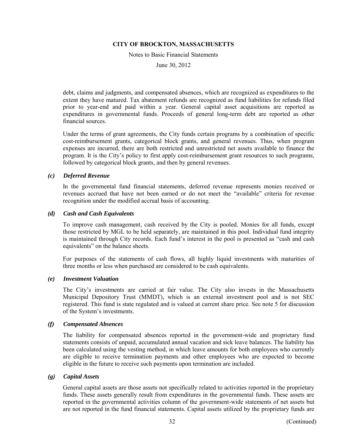Notes to Basic Financial Statements

June 30, 2012

debt, claims and judgments, and compensated absences, which are recognized as expenditures to the extent they have matured. Tax abatement refunds are recognized as fund liabilities for refunds filed prior to year-end and paid within a year. General capital asset acquisitions are reported as expenditures in governmental funds. Proceeds of general long-term debt are reported as other financial sources.

Under the terms of grant agreements, the City funds certain programs by a combination of specific cost-reimbursement grants, categorical block grants, and general revenues. Thus, when program expenses are incurred, there are both restricted and unrestricted net assets available to finance the program. It is the City's policy to first apply cost-reimbursement grant resources to such programs, followed by categorical block grants, and then by general revenues.

## *(c) Deferred Revenue*

In the governmental fund financial statements, deferred revenue represents monies received or revenues accrued that have not been earned or do not meet the "available" criteria for revenue recognition under the modified accrual basis of accounting.

## *(d) Cash and Cash Equivalents*

To improve cash management, cash received by the City is pooled. Monies for all funds, except those restricted by MGL to be held separately, are maintained in this pool. Individual fund integrity is maintained through City records. Each fund's interest in the pool is presented as "cash and cash equivalents" on the balance sheets.

For purposes of the statements of cash flows, all highly liquid investments with maturities of three months or less when purchased are considered to be cash equivalents.

### *(e) Investment Valuation*

The City's investments are carried at fair value. The City also invests in the Massachusetts Municipal Depository Trust (MMDT), which is an external investment pool and is not SEC registered. This fund is state regulated and is valued at current share price. See note 5 for discussion of the System's investments.

#### *(f) Compensated Absences*

The liability for compensated absences reported in the government-wide and proprietary fund statements consists of unpaid, accumulated annual vacation and sick leave balances. The liability has been calculated using the vesting method, in which leave amounts for both employees who currently are eligible to receive termination payments and other employees who are expected to become eligible in the future to receive such payments upon termination are included.

#### *(g) Capital Assets*

General capital assets are those assets not specifically related to activities reported in the proprietary funds. These assets generally result from expenditures in the governmental funds. These assets are reported in the governmental activities column of the government-wide statements of net assets but are not reported in the fund financial statements. Capital assets utilized by the proprietary funds are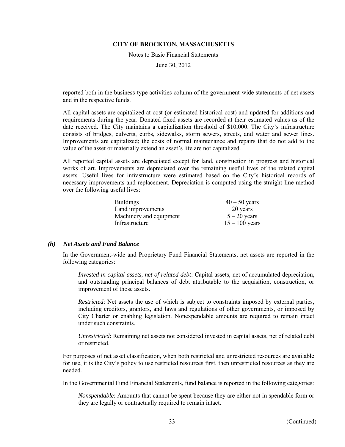Notes to Basic Financial Statements

June 30, 2012

reported both in the business-type activities column of the government-wide statements of net assets and in the respective funds.

All capital assets are capitalized at cost (or estimated historical cost) and updated for additions and requirements during the year. Donated fixed assets are recorded at their estimated values as of the date received. The City maintains a capitalization threshold of \$10,000. The City's infrastructure consists of bridges, culverts, curbs, sidewalks, storm sewers, streets, and water and sewer lines. Improvements are capitalized; the costs of normal maintenance and repairs that do not add to the value of the asset or materially extend an asset's life are not capitalized.

All reported capital assets are depreciated except for land, construction in progress and historical works of art. Improvements are depreciated over the remaining useful lives of the related capital assets. Useful lives for infrastructure were estimated based on the City's historical records of necessary improvements and replacement. Depreciation is computed using the straight-line method over the following useful lives:

| <b>Buildings</b>        | $40 - 50$ years  |
|-------------------------|------------------|
| Land improvements       | 20 years         |
| Machinery and equipment | $5 - 20$ years   |
| Infrastructure          | $15 - 100$ years |

#### *(h) Net Assets and Fund Balance*

In the Government-wide and Proprietary Fund Financial Statements, net assets are reported in the following categories:

*Invested in capital assets, net of related debt*: Capital assets, net of accumulated depreciation, and outstanding principal balances of debt attributable to the acquisition, construction, or improvement of those assets.

*Restricted*: Net assets the use of which is subject to constraints imposed by external parties, including creditors, grantors, and laws and regulations of other governments, or imposed by City Charter or enabling legislation. Nonexpendable amounts are required to remain intact under such constraints.

*Unrestricted*: Remaining net assets not considered invested in capital assets, net of related debt or restricted.

For purposes of net asset classification, when both restricted and unrestricted resources are available for use, it is the City's policy to use restricted resources first, then unrestricted resources as they are needed.

In the Governmental Fund Financial Statements, fund balance is reported in the following categories:

*Nonspendable*: Amounts that cannot be spent because they are either not in spendable form or they are legally or contractually required to remain intact.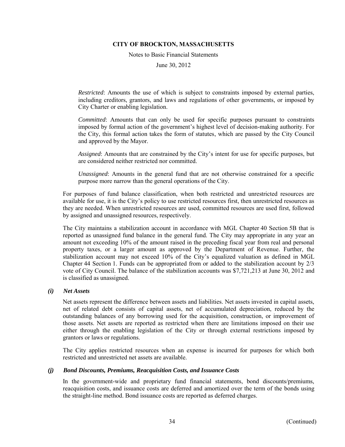Notes to Basic Financial Statements

June 30, 2012

*Restricted*: Amounts the use of which is subject to constraints imposed by external parties, including creditors, grantors, and laws and regulations of other governments, or imposed by City Charter or enabling legislation.

*Committed*: Amounts that can only be used for specific purposes pursuant to constraints imposed by formal action of the government's highest level of decision-making authority. For the City, this formal action takes the form of statutes, which are passed by the City Council and approved by the Mayor.

*Assigned*: Amounts that are constrained by the City's intent for use for specific purposes, but are considered neither restricted nor committed.

*Unassigned*: Amounts in the general fund that are not otherwise constrained for a specific purpose more narrow than the general operations of the City.

For purposes of fund balance classification, when both restricted and unrestricted resources are available for use, it is the City's policy to use restricted resources first, then unrestricted resources as they are needed. When unrestricted resources are used, committed resources are used first, followed by assigned and unassigned resources, respectively.

The City maintains a stabilization account in accordance with MGL Chapter 40 Section 5B that is reported as unassigned fund balance in the general fund. The City may appropriate in any year an amount not exceeding 10% of the amount raised in the preceding fiscal year from real and personal property taxes, or a larger amount as approved by the Department of Revenue. Further, the stabilization account may not exceed 10% of the City's equalized valuation as defined in MGL Chapter 44 Section 1. Funds can be appropriated from or added to the stabilization account by 2/3 vote of City Council. The balance of the stabilization accounts was \$7,721,213 at June 30, 2012 and is classified as unassigned.

#### *(i) Net Assets*

Net assets represent the difference between assets and liabilities. Net assets invested in capital assets, net of related debt consists of capital assets, net of accumulated depreciation, reduced by the outstanding balances of any borrowing used for the acquisition, construction, or improvement of those assets. Net assets are reported as restricted when there are limitations imposed on their use either through the enabling legislation of the City or through external restrictions imposed by grantors or laws or regulations.

The City applies restricted resources when an expense is incurred for purposes for which both restricted and unrestricted net assets are available.

#### *(j) Bond Discounts, Premiums, Reacquisition Costs, and Issuance Costs*

In the government-wide and proprietary fund financial statements, bond discounts/premiums, reacquisition costs, and issuance costs are deferred and amortized over the term of the bonds using the straight-line method. Bond issuance costs are reported as deferred charges.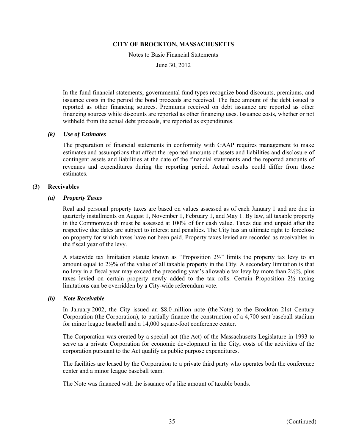Notes to Basic Financial Statements

June 30, 2012

In the fund financial statements, governmental fund types recognize bond discounts, premiums, and issuance costs in the period the bond proceeds are received. The face amount of the debt issued is reported as other financing sources. Premiums received on debt issuance are reported as other financing sources while discounts are reported as other financing uses. Issuance costs, whether or not withheld from the actual debt proceeds, are reported as expenditures.

#### *(k) Use of Estimates*

The preparation of financial statements in conformity with GAAP requires management to make estimates and assumptions that affect the reported amounts of assets and liabilities and disclosure of contingent assets and liabilities at the date of the financial statements and the reported amounts of revenues and expenditures during the reporting period. Actual results could differ from those estimates.

#### **(3) Receivables**

## *(a) Property Taxes*

Real and personal property taxes are based on values assessed as of each January 1 and are due in quarterly installments on August 1, November 1, February 1, and May 1. By law, all taxable property in the Commonwealth must be assessed at 100% of fair cash value. Taxes due and unpaid after the respective due dates are subject to interest and penalties. The City has an ultimate right to foreclose on property for which taxes have not been paid. Property taxes levied are recorded as receivables in the fiscal year of the levy.

A statewide tax limitation statute known as "Proposition 2½" limits the property tax levy to an amount equal to 2½% of the value of all taxable property in the City. A secondary limitation is that no levy in a fiscal year may exceed the preceding year's allowable tax levy by more than 2½%, plus taxes levied on certain property newly added to the tax rolls. Certain Proposition  $2\frac{1}{2}$  taxing limitations can be overridden by a City-wide referendum vote.

#### *(b) Note Receivable*

In January 2002, the City issued an \$8.0 million note (the Note) to the Brockton 21st Century Corporation (the Corporation), to partially finance the construction of a 4,700 seat baseball stadium for minor league baseball and a 14,000 square-foot conference center.

The Corporation was created by a special act (the Act) of the Massachusetts Legislature in 1993 to serve as a private Corporation for economic development in the City; costs of the activities of the corporation pursuant to the Act qualify as public purpose expenditures.

The facilities are leased by the Corporation to a private third party who operates both the conference center and a minor league baseball team.

The Note was financed with the issuance of a like amount of taxable bonds.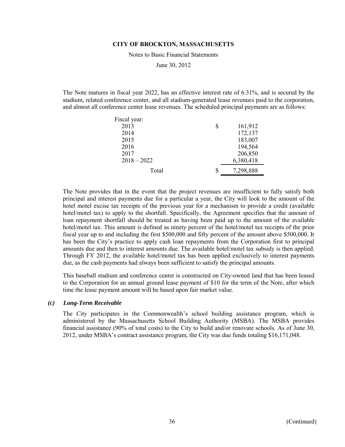Notes to Basic Financial Statements

June 30, 2012

The Note matures in fiscal year 2022, has an effective interest rate of 6.31%, and is secured by the stadium, related conference center, and all stadium-generated lease revenues paid to the corporation, and almost all conference center lease revenues. The scheduled principal payments are as follows:

| Fiscal year:<br>2013 |   |           |
|----------------------|---|-----------|
|                      | S | 161,912   |
| 2014                 |   | 172,137   |
| 2015                 |   | 183,007   |
| 2016                 |   | 194,564   |
| 2017                 |   | 206,850   |
| $2018 - 2022$        |   | 6,380,418 |
| Total                | S | 7,298,888 |
|                      |   |           |

The Note provides that in the event that the project revenues are insufficient to fully satisfy both principal and interest payments due for a particular a year, the City will look to the amount of the hotel motel excise tax receipts of the previous year for a mechanism to provide a credit (available hotel/motel tax) to apply to the shortfall. Specifically, the Agreement specifies that the amount of loan repayment shortfall should be treated as having been paid up to the amount of the available hotel/motel tax. This amount is defined as ninety percent of the hotel/motel tax receipts of the prior fiscal year up to and including the first \$500,000 and fifty percent of the amount above \$500,000. It has been the City's practice to apply cash loan repayments from the Corporation first to principal amounts due and then to interest amounts due. The available hotel/motel tax subsidy is then applied. Through FY 2012, the available hotel/motel tax has been applied exclusively to interest payments due, as the cash payments had always been sufficient to satisfy the principal amounts.

This baseball stadium and conference center is constructed on City-owned land that has been leased to the Corporation for an annual ground lease payment of \$10 for the term of the Note, after which time the lease payment amount will be based upon fair market value.

#### *(c) Long-Term Receivable*

The City participates in the Commonwealth's school building assistance program, which is administered by the Massachusetts School Building Authority (MSBA). The MSBA provides financial assistance (90% of total costs) to the City to build and/or renovate schools. As of June 30, 2012, under MSBA's contract assistance program, the City was due funds totaling \$16,171,048.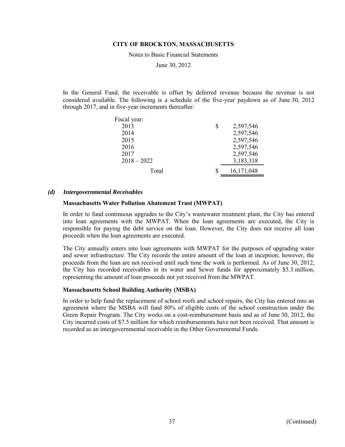Notes to Basic Financial Statements

June 30, 2012

In the General Fund, the receivable is offset by deferred revenue because the revenue is not considered available. The following is a schedule of the five-year paydown as of June 30, 2012 through 2017, and in five-year increments thereafter:

| Fiscal year:  |   |            |
|---------------|---|------------|
| 2013          | S | 2,597,546  |
| 2014          |   | 2,597,546  |
| 2015          |   | 2,597,546  |
| 2016          |   | 2,597,546  |
| 2017          |   | 2,597,546  |
| $2018 - 2022$ |   | 3,183,318  |
| Total         |   | 16,171,048 |
|               |   |            |

#### *(d) Intergovernmental Receivables*

## **Massachusetts Water Pollution Abatement Trust (MWPAT)**

In order to fund continuous upgrades to the City's wastewater treatment plant, the City has entered into loan agreements with the MWPAT. When the loan agreements are executed, the City is responsible for paying the debt service on the loan. However, the City does not receive all loan proceeds when the loan agreements are executed.

The City annually enters into loan agreements with MWPAT for the purposes of upgrading water and sewer infrastructure. The City records the entire amount of the loan at inception; however, the proceeds from the loan are not received until such time the work is performed. As of June 30, 2012, the City has recorded receivables in its water and Sewer funds for approximately \$5.3 million, representing the amount of loan proceeds not yet received from the MWPAT.

#### **Massachusetts School Building Authority (MSBA)**

In order to help fund the replacement of school roofs and school repairs, the City has entered into an agreement where the MSBA will fund 80% of eligible costs of the school construction under the Green Repair Program. The City works on a cost-reimbursement basis and as of June 30, 2012, the City incurred costs of \$7.5 million for which reimbursements have not been received. That amount is recorded as an intergovernmental receivable in the Other Governmental Funds.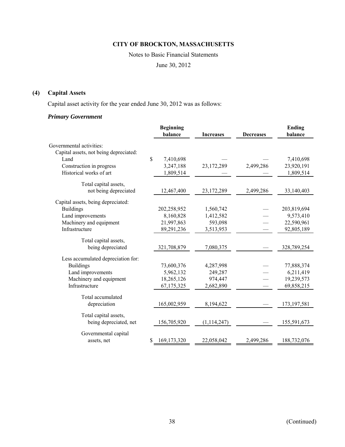Notes to Basic Financial Statements

June 30, 2012

## **(4) Capital Assets**

Capital asset activity for the year ended June 30, 2012 was as follows:

## *Primary Government*

|                                        |             | <b>Beginning</b><br>balance | <b>Increases</b> | <b>Decreases</b> | <b>Ending</b><br>balance |
|----------------------------------------|-------------|-----------------------------|------------------|------------------|--------------------------|
| Governmental activities:               |             |                             |                  |                  |                          |
| Capital assets, not being depreciated: |             |                             |                  |                  |                          |
| Land                                   | $\mathbf S$ | 7,410,698                   |                  |                  | 7,410,698                |
| Construction in progress               |             | 3,247,188                   | 23,172,289       | 2,499,286        | 23,920,191               |
| Historical works of art                |             | 1,809,514                   |                  |                  | 1,809,514                |
| Total capital assets,                  |             |                             |                  |                  |                          |
| not being depreciated                  |             | 12,467,400                  | 23,172,289       | 2,499,286        | 33,140,403               |
| Capital assets, being depreciated:     |             |                             |                  |                  |                          |
| <b>Buildings</b>                       |             | 202,258,952                 | 1,560,742        |                  | 203,819,694              |
| Land improvements                      |             | 8,160,828                   | 1,412,582        |                  | 9,573,410                |
| Machinery and equipment                |             | 21,997,863                  | 593,098          |                  | 22,590,961               |
| Infrastructure                         |             | 89,291,236                  | 3,513,953        |                  | 92,805,189               |
| Total capital assets,                  |             |                             |                  |                  |                          |
| being depreciated                      |             | 321,708,879                 | 7,080,375        |                  | 328,789,254              |
| Less accumulated depreciation for:     |             |                             |                  |                  |                          |
| <b>Buildings</b>                       |             | 73,600,376                  | 4,287,998        |                  | 77,888,374               |
| Land improvements                      |             | 5,962,132                   | 249,287          |                  | 6,211,419                |
| Machinery and equipment                |             | 18,265,126                  | 974,447          |                  | 19,239,573               |
| Infrastructure                         |             | 67,175,325                  | 2,682,890        |                  | 69,858,215               |
| Total accumulated                      |             |                             |                  |                  |                          |
| depreciation                           |             | 165,002,959                 | 8,194,622        |                  | 173, 197, 581            |
| Total capital assets,                  |             |                             |                  |                  |                          |
| being depreciated, net                 |             | 156,705,920                 | (1, 114, 247)    |                  | 155,591,673              |
| Governmental capital                   |             |                             |                  |                  |                          |
| assets, net                            |             | 169,173,320                 | 22,058,042       | 2,499,286        | 188,732,076              |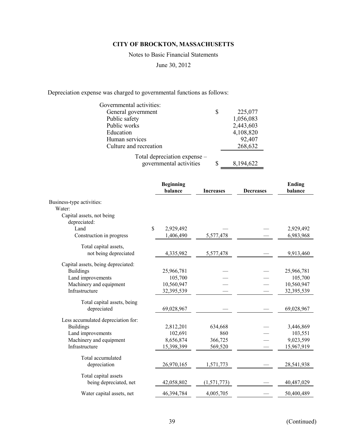Notes to Basic Financial Statements

June 30, 2012

Depreciation expense was charged to governmental functions as follows:

| Governmental activities:<br>General government | S | 225,077   |
|------------------------------------------------|---|-----------|
| Public safety                                  |   | 1,056,083 |
| Public works                                   |   | 2,443,603 |
| Education                                      |   | 4,108,820 |
| Human services                                 |   | 92,407    |
| Culture and recreation                         |   | 268,632   |
| Total depreciation expense -                   |   |           |
| governmental activities                        | S | 8,194,622 |

|                                           | <b>Beginning</b><br>balance | <b>Increases</b> | <b>Decreases</b> | <b>Ending</b><br>balance |
|-------------------------------------------|-----------------------------|------------------|------------------|--------------------------|
| Business-type activities:                 |                             |                  |                  |                          |
| Water:                                    |                             |                  |                  |                          |
| Capital assets, not being<br>depreciated: |                             |                  |                  |                          |
| Land                                      | \$<br>2,929,492             |                  |                  | 2,929,492                |
| Construction in progress                  | 1,406,490                   | 5,577,478        |                  | 6,983,968                |
| Total capital assets,                     |                             |                  |                  |                          |
| not being depreciated                     | 4,335,982                   | 5,577,478        |                  | 9,913,460                |
| Capital assets, being depreciated:        |                             |                  |                  |                          |
| <b>Buildings</b>                          | 25,966,781                  |                  |                  | 25,966,781               |
| Land improvements                         | 105,700                     |                  |                  | 105,700                  |
| Machinery and equipment                   | 10,560,947                  |                  |                  | 10,560,947               |
| Infrastructure                            | 32,395,539                  |                  |                  | 32,395,539               |
| Total capital assets, being               |                             |                  |                  |                          |
| depreciated                               | 69,028,967                  |                  |                  | 69,028,967               |
| Less accumulated depreciation for:        |                             |                  |                  |                          |
| <b>Buildings</b>                          | 2,812,201                   | 634,668          |                  | 3,446,869                |
| Land improvements                         | 102,691                     | 860              |                  | 103,551                  |
| Machinery and equipment                   | 8,656,874                   | 366,725          |                  | 9,023,599                |
| Infrastructure                            | 15,398,399                  | 569,520          |                  | 15,967,919               |
| Total accumulated                         |                             |                  |                  |                          |
| depreciation                              | 26,970,165                  | 1,571,773        |                  | 28,541,938               |
| Total capital assets                      |                             |                  |                  |                          |
| being depreciated, net                    | 42,058,802                  | (1,571,773)      |                  | 40,487,029               |
| Water capital assets, net                 | 46,394,784                  | 4,005,705        |                  | 50,400,489               |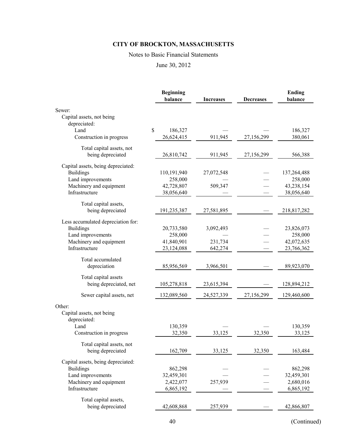## Notes to Basic Financial Statements

## June 30, 2012

|                                                     | <b>Beginning</b><br>balance | <b>Increases</b> | <b>Decreases</b> | <b>Ending</b><br>balance |
|-----------------------------------------------------|-----------------------------|------------------|------------------|--------------------------|
| Sewer:                                              |                             |                  |                  |                          |
| Capital assets, not being<br>depreciated:           |                             |                  |                  |                          |
| Land                                                | \$<br>186,327               |                  |                  | 186,327                  |
| Construction in progress                            | 26,624,415                  | 911,945          | 27,156,299       | 380,061                  |
| Total capital assets, not<br>being depreciated      | 26,810,742                  | 911,945          | 27,156,299       | 566,388                  |
| Capital assets, being depreciated:                  |                             |                  |                  |                          |
| <b>Buildings</b>                                    | 110,191,940                 | 27,072,548       |                  | 137,264,488              |
| Land improvements                                   | 258,000                     |                  |                  | 258,000                  |
| Machinery and equipment                             | 42,728,807                  | 509,347          |                  | 43,238,154               |
| Infrastructure                                      | 38,056,640                  |                  |                  | 38,056,640               |
| Total capital assets,                               |                             |                  |                  |                          |
| being depreciated                                   | 191,235,387                 | 27,581,895       |                  | 218,817,282              |
| Less accumulated depreciation for:                  |                             |                  |                  |                          |
| <b>Buildings</b>                                    | 20,733,580                  | 3,092,493        |                  | 23,826,073               |
| Land improvements                                   | 258,000                     |                  |                  | 258,000                  |
| Machinery and equipment                             | 41,840,901                  | 231,734          |                  | 42,072,635               |
| Infrastructure                                      | 23,124,088                  | 642,274          |                  | 23,766,362               |
| Total accumulated<br>depreciation                   | 85,956,569                  | 3,966,501        |                  | 89,923,070               |
| Total capital assets                                |                             |                  |                  |                          |
| being depreciated, net                              | 105,278,818                 | 23,615,394       |                  | 128,894,212              |
| Sewer capital assets, net                           | 132,089,560                 | 24,527,339       | 27,156,299       | 129,460,600              |
| Other:<br>Capital assets, not being<br>depreciated: |                             |                  |                  |                          |
| Land                                                | 130,359                     |                  |                  | 130,359                  |
| Construction in progress                            | 32,350                      | 33,125           | 32,350           | 33,125                   |
| Total capital assets, not<br>being depreciated      | 162,709                     | 33,125           | 32,350           | 163,484                  |
| Capital assets, being depreciated:                  |                             |                  |                  |                          |
| <b>Buildings</b>                                    | 862,298                     |                  |                  | 862,298                  |
| Land improvements                                   | 32,459,301                  |                  |                  | 32,459,301               |
| Machinery and equipment                             | 2,422,077                   | 257,939          |                  | 2,680,016                |
| Infrastructure                                      | 6,865,192                   |                  |                  | 6,865,192                |
| Total capital assets,                               |                             |                  |                  |                          |
| being depreciated                                   | 42,608,868                  | 257,939          |                  | 42,866,807               |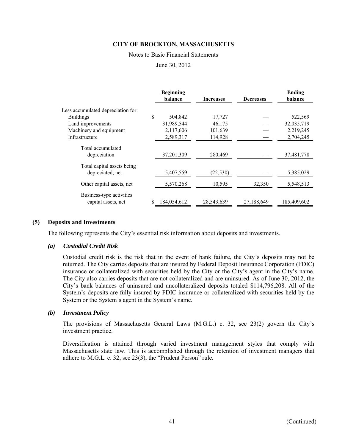#### Notes to Basic Financial Statements

## June 30, 2012

|                                                 | <b>Beginning</b><br>balance | Increases  | <b>Decreases</b> | Ending<br>balance |
|-------------------------------------------------|-----------------------------|------------|------------------|-------------------|
| Less accumulated depreciation for:              |                             |            |                  |                   |
| <b>Buildings</b>                                | \$<br>504,842               | 17,727     |                  | 522,569           |
| Land improvements                               | 31,989,544                  | 46,175     |                  | 32,035,719        |
| Machinery and equipment                         | 2,117,606                   | 101,639    |                  | 2,219,245         |
| Infrastructure                                  | 2,589,317                   | 114,928    |                  | 2,704,245         |
| Total accumulated                               |                             |            |                  |                   |
| depreciation                                    | 37,201,309                  | 280,469    |                  | 37,481,778        |
| Total capital assets being                      |                             |            |                  |                   |
| depreciated, net                                | 5,407,559                   | (22, 530)  |                  | 5,385,029         |
| Other capital assets, net                       | 5,570,268                   | 10,595     | 32,350           | 5,548,513         |
| Business-type activities<br>capital assets, net | 184,054,612                 | 28,543,639 | 27,188,649       | 185,409,602       |

#### **(5) Deposits and Investments**

The following represents the City's essential risk information about deposits and investments.

#### *(a) Custodial Credit Risk*

Custodial credit risk is the risk that in the event of bank failure, the City's deposits may not be returned. The City carries deposits that are insured by Federal Deposit Insurance Corporation (FDIC) insurance or collateralized with securities held by the City or the City's agent in the City's name. The City also carries deposits that are not collateralized and are uninsured. As of June 30, 2012, the City's bank balances of uninsured and uncollateralized deposits totaled \$114,796,208. All of the System's deposits are fully insured by FDIC insurance or collateralized with securities held by the System or the System's agent in the System's name.

#### *(b) Investment Policy*

The provisions of Massachusetts General Laws (M.G.L.) c. 32, sec 23(2) govern the City's investment practice.

Diversification is attained through varied investment management styles that comply with Massachusetts state law. This is accomplished through the retention of investment managers that adhere to M.G.L. c. 32, sec 23(3), the "Prudent Person" rule.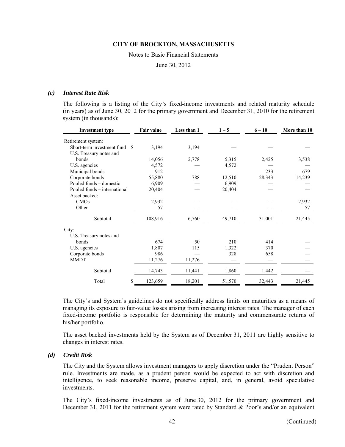#### Notes to Basic Financial Statements

June 30, 2012

### *(c) Interest Rate Risk*

The following is a listing of the City's fixed-income investments and related maturity schedule (in years) as of June 30, 2012 for the primary government and December 31, 2010 for the retirement system (in thousands):<br> **Investment type Fair value Less than 1**  $\overline{\phantom{0}}$   $\overline{\phantom{0}}$   $\overline{\phantom{0}}$  **Less than 1**  $\over$ system (in thousands):

| <b>Investment type</b>                      | <b>Fair value</b> | Less than 1 | $1 - 5$ | $6 - 10$ | More than 10 |
|---------------------------------------------|-------------------|-------------|---------|----------|--------------|
| Retirement system:                          |                   |             |         |          |              |
| Short-term investment fund<br><sup>\$</sup> | 3,194             | 3,194       |         |          |              |
| U.S. Treasury notes and                     |                   |             |         |          |              |
| bonds                                       | 14,056            | 2,778       | 5,315   | 2,425    | 3,538        |
| U.S. agencies                               | 4,572             |             | 4,572   |          |              |
| Municipal bonds                             | 912               |             |         | 233      | 679          |
| Corporate bonds                             | 55,880            | 788         | 12,510  | 28,343   | 14,239       |
| Pooled funds - domestic                     | 6,909             |             | 6,909   |          |              |
| Pooled funds - international                | 20,404            |             | 20,404  |          |              |
| Asset backed:                               |                   |             |         |          |              |
| CMOs                                        | 2,932             |             |         |          | 2,932        |
| Other                                       | 57                |             |         |          | 57           |
| Subtotal                                    | 108,916           | 6,760       | 49,710  | 31,001   | 21,445       |
| City:                                       |                   |             |         |          |              |
| U.S. Treasury notes and                     |                   |             |         |          |              |
| bonds                                       | 674               | 50          | 210     | 414      |              |
| U.S. agencies                               | 1,807             | 115         | 1,322   | 370      |              |
| Corporate bonds                             | 986               |             | 328     | 658      |              |
| <b>MMDT</b>                                 | 11,276            | 11,276      |         |          |              |
| Subtotal                                    | 14,743            | 11,441      | 1,860   | 1,442    |              |
| \$<br>Total                                 | 123,659           | 18,201      | 51,570  | 32,443   | 21,445       |
|                                             |                   |             |         |          |              |

The City's and System's guidelines do not specifically address limits on maturities as a means of managing its exposure to fair-value losses arising from increasing interest rates. The manager of each fixed-income portfolio is responsible for determining the maturity and commensurate returns of his/her portfolio.

The asset backed investments held by the System as of December 31, 2011 are highly sensitive to changes in interest rates.

#### *(d) Credit Risk*

The City and the System allows investment managers to apply discretion under the "Prudent Person" rule. Investments are made, as a prudent person would be expected to act with discretion and intelligence, to seek reasonable income, preserve capital, and, in general, avoid speculative investments.

The City's fixed-income investments as of June 30, 2012 for the primary government and December 31, 2011 for the retirement system were rated by Standard & Poor's and/or an equivalent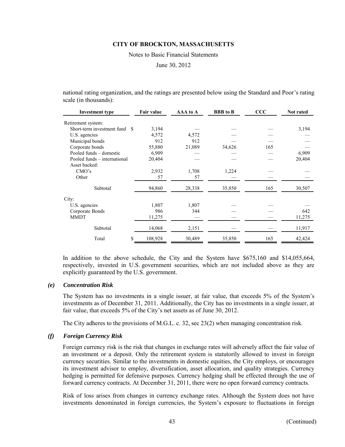Notes to Basic Financial Statements

June 30, 2012

national rating organization, and the ratings are presented below using the Standard and Poor's rating scale (in thousands):<br> **Investment type Fair value** AAA to A BBB to B CCC Not rated scale (in thousands):

| <b>Investment type</b>        | <b>Fair value</b> | AAA to A | <b>BBB</b> to <b>B</b> | CCC | Not rated |
|-------------------------------|-------------------|----------|------------------------|-----|-----------|
| Retirement system:            |                   |          |                        |     |           |
| Short-term investment fund \$ | 3,194             |          |                        |     | 3,194     |
| U.S. agencies                 | 4,572             | 4,572    |                        |     |           |
| Municipal bonds               | 912               | 912      |                        |     |           |
| Corporate bonds               | 55,880            | 21,089   | 34,626                 | 165 |           |
| Pooled funds – domestic       | 6,909             |          |                        |     | 6,909     |
| Pooled funds – international  | 20,404            |          |                        |     | 20,404    |
| Asset backed:                 |                   |          |                        |     |           |
| CMO's                         | 2,932             | 1,708    | 1,224                  |     |           |
| Other                         | 57                | 57       |                        |     |           |
| Subtotal                      | 94,860            | 28,338   | 35,850                 | 165 | 30,507    |
| City:                         |                   |          |                        |     |           |
| U.S. agencies                 | 1,807             | 1,807    |                        |     |           |
| Corporate Bonds               | 986               | 344      |                        |     | 642       |
| <b>MMDT</b>                   | 11,275            |          |                        |     | 11,275    |
| Subtotal                      | 14,068            | 2,151    |                        |     | 11,917    |
| Total<br>\$                   | 108,928           | 30,489   | 35,850                 | 165 | 42,424    |
|                               |                   |          |                        |     |           |

In addition to the above schedule, the City and the System have \$675,160 and \$14,055,664, respectively, invested in U.S. government securities, which are not included above as they are explicitly guaranteed by the U.S. government.

#### *(e) Concentration Risk*

The System has no investments in a single issuer, at fair value, that exceeds 5% of the System's investments as of December 31, 2011. Additionally, the City has no investments in a single issuer, at fair value, that exceeds 5% of the City's net assets as of June 30, 2012.

The City adheres to the provisions of M.G.L. c. 32, sec 23(2) when managing concentration risk.

#### *(f) Foreign Currency Risk*

Foreign currency risk is the risk that changes in exchange rates will adversely affect the fair value of an investment or a deposit. Only the retirement system is statutorily allowed to invest in foreign currency securities. Similar to the investments in domestic equities, the City employs, or encourages its investment advisor to employ, diversification, asset allocation, and quality strategies. Currency hedging is permitted for defensive purposes. Currency hedging shall be effected through the use of forward currency contracts. At December 31, 2011, there were no open forward currency contracts.

Risk of loss arises from changes in currency exchange rates. Although the System does not have investments denominated in foreign currencies, the System's exposure to fluctuations in foreign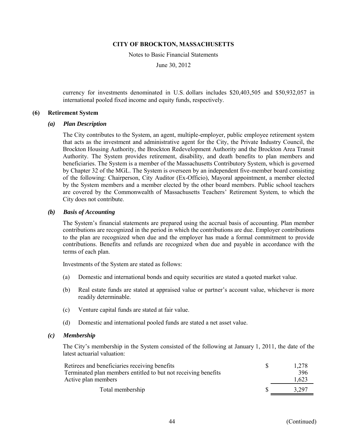Notes to Basic Financial Statements

June 30, 2012

currency for investments denominated in U.S. dollars includes \$20,403,505 and \$50,932,057 in international pooled fixed income and equity funds, respectively.

#### **(6) Retirement System**

#### *(a) Plan Description*

The City contributes to the System, an agent, multiple-employer, public employee retirement system that acts as the investment and administrative agent for the City, the Private Industry Council, the Brockton Housing Authority, the Brockton Redevelopment Authority and the Brockton Area Transit Authority. The System provides retirement, disability, and death benefits to plan members and beneficiaries. The System is a member of the Massachusetts Contributory System, which is governed by Chapter 32 of the MGL. The System is overseen by an independent five-member board consisting of the following: Chairperson, City Auditor (Ex-Officio), Mayoral appointment, a member elected by the System members and a member elected by the other board members. Public school teachers are covered by the Commonwealth of Massachusetts Teachers' Retirement System, to which the City does not contribute.

#### *(b) Basis of Accounting*

The System's financial statements are prepared using the accrual basis of accounting. Plan member contributions are recognized in the period in which the contributions are due. Employer contributions to the plan are recognized when due and the employer has made a formal commitment to provide contributions. Benefits and refunds are recognized when due and payable in accordance with the terms of each plan.

Investments of the System are stated as follows:

- (a) Domestic and international bonds and equity securities are stated a quoted market value.
- (b) Real estate funds are stated at appraised value or partner's account value, whichever is more readily determinable.
- (c) Venture capital funds are stated at fair value.
- (d) Domestic and international pooled funds are stated a net asset value.

#### *(c) Membership*

The City's membership in the System consisted of the following at January 1, 2011, the date of the latest actuarial valuation:

| Retirees and beneficiaries receiving benefits<br>Terminated plan members entitled to but not receiving benefits<br>Active plan members | 1.278<br>396<br>1,623 |
|----------------------------------------------------------------------------------------------------------------------------------------|-----------------------|
| Total membership                                                                                                                       | 3.297                 |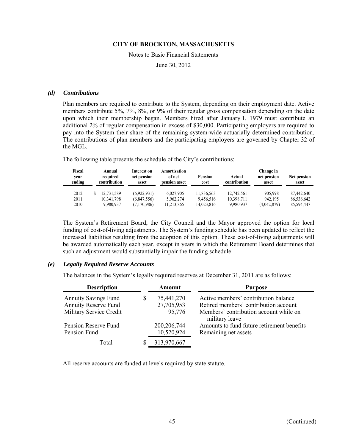#### Notes to Basic Financial Statements

June 30, 2012

### *(d) Contributions*

Plan members are required to contribute to the System, depending on their employment date. Active members contribute 5%, 7%, 8%, or 9% of their regular gross compensation depending on the date upon which their membership began. Members hired after January 1, 1979 must contribute an additional 2% of regular compensation in excess of \$30,000. Participating employers are required to pay into the System their share of the remaining system-wide actuarially determined contribution. The contributions of plan members and the participating employers are governed by Chapter 32 of the MGL.

| The following table presents the schedule of the City's contributions: |  |                                    |                                     |                                         |                         |                         |                                   |                          |
|------------------------------------------------------------------------|--|------------------------------------|-------------------------------------|-----------------------------------------|-------------------------|-------------------------|-----------------------------------|--------------------------|
| Fiscal<br>vear<br>ending                                               |  | Annual<br>required<br>contribution | Interest on<br>net pension<br>asset | Amortization<br>of net<br>pension asset | Pension<br>cost         | Actual<br>contribution  | Change in<br>net pension<br>asset | Net pension<br>asset     |
| 2012<br>2011                                                           |  | 12,731,589                         | (6.922.931)                         | 6,027,905                               | 11,836,563              | 12,742,561              | 905,998<br>942.195                | 87,442,640               |
| 2010                                                                   |  | 10,341,798<br>9,980,937            | (6,847,556)<br>(7,170,986)          | 5,962,274<br>11,213,865                 | 9,456,516<br>14,023,816 | 10,398,711<br>9,980,937 | (4,042,879)                       | 86,536,642<br>85,594,447 |

The System's Retirement Board, the City Council and the Mayor approved the option for local funding of cost-of-living adjustments. The System's funding schedule has been updated to reflect the increased liabilities resulting from the adoption of this option. These cost-of-living adjustments will be awarded automatically each year, except in years in which the Retirement Board determines that such an adjustment would substantially impair the funding schedule.

## *(e) Legally Required Reserve Accounts*

| <b>Description</b>          |   | Amount        | <b>Purpose</b>                                           |
|-----------------------------|---|---------------|----------------------------------------------------------|
| <b>Annuity Savings Fund</b> | S | 75,441,270    | Active members' contribution balance                     |
| <b>Annuity Reserve Fund</b> |   | 27,705,953    | Retired members' contribution account                    |
| Military Service Credit     |   | 95,776        | Members' contribution account while on<br>military leave |
| Pension Reserve Fund        |   | 200, 206, 744 | Amounts to fund future retirement benefits               |
| Pension Fund                |   | 10,520,924    | Remaining net assets                                     |
| Total                       | S | 313,970,667   |                                                          |

All reserve accounts are funded at levels required by state statute.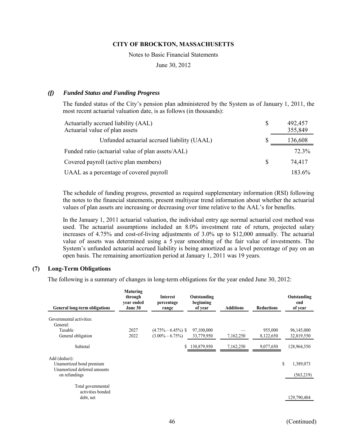Notes to Basic Financial Statements

June 30, 2012

### *(f) Funded Status and Funding Progress*

| The funded status of the City's pension plan administered by the System as of January 1, 2011, the<br>most recent actuarial valuation date, is as follows (in thousands): |                          |
|---------------------------------------------------------------------------------------------------------------------------------------------------------------------------|--------------------------|
| Actuarially accrued liability (AAL)<br>Actuarial value of plan assets                                                                                                     | \$<br>492,457<br>355,849 |
| Unfunded actuarial accrued liability (UAAL)                                                                                                                               | 136,608                  |
| Funded ratio (actuarial value of plan assets/AAL)                                                                                                                         | 72.3%                    |
| Covered payroll (active plan members)                                                                                                                                     | \$<br>74,417             |
| UAAL as a percentage of covered payroll                                                                                                                                   | 183.6%                   |

The schedule of funding progress, presented as required supplementary information (RSI) following the notes to the financial statements, present multiyear trend information about whether the actuarial values of plan assets are increasing or decreasing over time relative to the AAL's for benefits.

In the January 1, 2011 actuarial valuation, the individual entry age normal actuarial cost method was used. The actuarial assumptions included an 8.0% investment rate of return, projected salary increases of 4.75% and cost-of-living adjustments of 3.0% up to \$12,000 annually. The actuarial value of assets was determined using a 5 year smoothing of the fair value of investments. The System's unfunded actuarial accrued liability is being amortized as a level percentage of pay on an open basis. The remaining amortization period at January 1, 2011 was 19 years.

## **(7) Long-Term Obligations**

| <b>General long-term obligations</b>                     | Maturing<br>through<br>year ended<br>June 30 | <b>Interest</b><br>percentage<br>range | Outstanding<br>beginning<br>of year | <b>Additions</b> | <b>Reductions</b> | Outstanding<br>end<br>of year |
|----------------------------------------------------------|----------------------------------------------|----------------------------------------|-------------------------------------|------------------|-------------------|-------------------------------|
| Governmental activities:<br>General:                     |                                              |                                        |                                     |                  |                   |                               |
| Taxable                                                  | 2027                                         | $(4.75\% - 6.45\%)$ \$                 | 97,100,000                          |                  | 955,000           | 96,145,000                    |
| General obligation                                       | 2022                                         | $(3.00\% - 6.75\%)$                    | 33,779,950                          | 7,162,250        | 8,122,650         | 32,819,550                    |
| Subtotal                                                 |                                              | S                                      | 130,879,950                         | 7,162,250        | 9,077,650         | 128,964,550                   |
| Add (deduct):                                            |                                              |                                        |                                     |                  |                   |                               |
| Unamortized bond premium<br>Unamortized deferred amounts |                                              |                                        |                                     |                  |                   | \$<br>1,389,073               |
| on refundings                                            |                                              |                                        |                                     |                  |                   | (563, 219)                    |
| Total governmental                                       |                                              |                                        |                                     |                  |                   |                               |
| activities bonded                                        |                                              |                                        |                                     |                  |                   |                               |
| debt, net                                                |                                              |                                        |                                     |                  |                   | 129,790,404                   |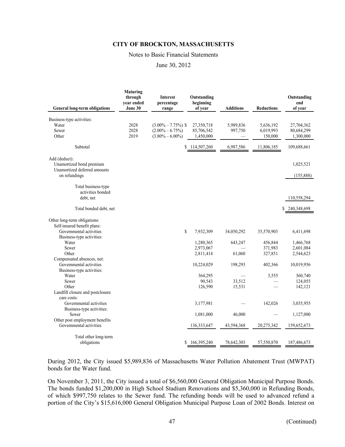#### Notes to Basic Financial Statements

June 30, 2012

| <b>General long-term obligations</b>                                      | Maturing<br>through<br>year ended<br>June 30 | <b>Interest</b><br>percentage<br>range | Outstanding<br>beginning<br>of vear | <b>Additions</b> | <b>Reductions</b> | Outstanding<br>end<br>of vear |
|---------------------------------------------------------------------------|----------------------------------------------|----------------------------------------|-------------------------------------|------------------|-------------------|-------------------------------|
| Business-type activities:                                                 |                                              |                                        |                                     |                  |                   |                               |
| Water                                                                     | 2028                                         | $(3.00\% - 7.75\%)$ \$                 | 27,350,718                          | 5,989,836        | 5,636,192         | 27,704,362                    |
| Sewer                                                                     | 2028                                         | $(2.00\% - 6.75\%)$                    | 85,706,542                          | 997,750          | 6,019,993         | 80,684,299                    |
| Other                                                                     | 2019                                         | $(3.80\% - 6.00\%)$                    | 1,450,000                           |                  | 150,000           | 1,300,000                     |
| Subtotal                                                                  |                                              |                                        | \$114,507,260                       | 6,987,586        | 11,806,185        | 109,688,661                   |
| Add (deduct):<br>Unamortized bond premium<br>Unamortized deferred amounts |                                              |                                        |                                     |                  |                   | 1,025,521                     |
| on refundings                                                             |                                              |                                        |                                     |                  |                   | (155,888)                     |
| Total business-type                                                       |                                              |                                        |                                     |                  |                   |                               |
| activities bonded<br>debt, net                                            |                                              |                                        |                                     |                  |                   | 110,558,294                   |
| Total bonded debt, net                                                    |                                              |                                        |                                     |                  |                   | 240,348,698<br>\$             |
| Other long-term obligations:                                              |                                              |                                        |                                     |                  |                   |                               |
| Self-insured benefit plans:                                               |                                              |                                        |                                     |                  |                   |                               |
| Governmental activities                                                   |                                              | \$                                     | 7,932,309                           | 34,050,292       | 35,570,903        | 6,411,698                     |
| Business-type activities:<br>Water                                        |                                              |                                        | 1,280,365                           | 643,247          | 456,844           | 1,466,768                     |
| Sewer                                                                     |                                              |                                        | 2,973,067                           |                  | 371,983           | 2,601,084                     |
| Other                                                                     |                                              |                                        | 2,811,414                           | 61,060           | 327,851           | 2,544,623                     |
| Compensated absences, net:                                                |                                              |                                        |                                     |                  |                   |                               |
| Governmental activities                                                   |                                              |                                        | 10,224,029                          | 198,293          | 402,366           | 10,019,956                    |
| Business-type activities:                                                 |                                              |                                        |                                     |                  |                   |                               |
| Water                                                                     |                                              |                                        | 364,295                             |                  | 3,555             | 360,740                       |
| Sewer                                                                     |                                              |                                        | 90,543                              | 33,512           |                   | 124,055                       |
| Other                                                                     |                                              |                                        | 126,590                             | 15,531           |                   | 142,121                       |
| Landfill closure and postclosure                                          |                                              |                                        |                                     |                  |                   |                               |
| care costs:<br>Governmental activities                                    |                                              |                                        |                                     |                  |                   |                               |
| Business-type activities:                                                 |                                              |                                        | 3,177,981                           |                  | 142,026           | 3,035,955                     |
| Sewer                                                                     |                                              |                                        | 1,081,000                           | 46,000           |                   | 1,127,000                     |
| Other post employment benefits                                            |                                              |                                        |                                     |                  |                   |                               |
| Governmental activities                                                   |                                              |                                        | 136, 333, 647                       | 43,594,368       | 20,275,342        | 159,652,673                   |
| Total other long-term                                                     |                                              |                                        |                                     |                  |                   |                               |
| obligations                                                               |                                              | S                                      | 166,395,240                         | 78,642,303       | 57,550,870        | 187,486,673                   |

During 2012, the City issued \$5,989,836 of Massachusetts Water Pollution Abatement Trust (MWPAT) bonds for the Water fund.

On November 3, 2011, the City issued a total of \$6,560,000 General Obligation Municipal Purpose Bonds. The bonds funded \$1,200,000 in High School Stadium Renovations and \$5,360,000 in Refunding Bonds, of which \$997,750 relates to the Sewer fund. The refunding bonds will be used to advanced refund a portion of the City's \$15,616,000 General Obligation Municipal Purpose Loan of 2002 Bonds. Interest on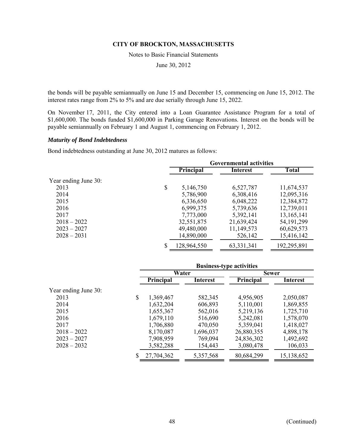Notes to Basic Financial Statements

June 30, 2012

the bonds will be payable semiannually on June 15 and December 15, commencing on June 15, 2012. The interest rates range from 2% to 5% and are due serially through June 15, 2022.

On November 17, 2011, the City entered into a Loan Guarantee Assistance Program for a total of \$1,600,000. The bonds funded \$1,600,000 in Parking Garage Renovations. Interest on the bonds will be payable semiannually on February 1 and August 1, commencing on February 1, 2012.

### *Maturity of Bond Indebtedness*

|                      |                 | <b>Governmental activities</b> |              |
|----------------------|-----------------|--------------------------------|--------------|
|                      | Principal       | Interest                       | <b>Total</b> |
| Year ending June 30: |                 |                                |              |
| 2013                 | \$<br>5,146,750 | 6,527,787                      | 11,674,537   |
| 2014                 | 5,786,900       | 6,308,416                      | 12,095,316   |
| 2015                 | 6,336,650       | 6,048,222                      | 12,384,872   |
| 2016                 | 6,999,375       | 5,739,636                      | 12,739,011   |
| 2017                 | 7,773,000       | 5,392,141                      | 13,165,141   |
| $2018 - 2022$        | 32,551,875      | 21,639,424                     | 54, 191, 299 |
| $2023 - 2027$        | 49,480,000      | 11,149,573                     | 60,629,573   |
| $2028 - 2031$        | 14,890,000      | 526,142                        | 15,416,142   |
|                      | 128,964,550     | 63,331,341                     | 192,295,891  |

|                      |    |            |                 | <b>Business-type activities</b> |            |  |
|----------------------|----|------------|-----------------|---------------------------------|------------|--|
|                      |    | Water      |                 | <b>Sewer</b>                    |            |  |
|                      |    | Principal  | <b>Interest</b> | Principal                       | Interest   |  |
| Year ending June 30: |    |            |                 |                                 |            |  |
| 2013                 | \$ | 1,369,467  | 582,345         | 4,956,905                       | 2,050,087  |  |
| 2014                 |    | 1,632,204  | 606,893         | 5,110,001                       | 1,869,855  |  |
| 2015                 |    | 1,655,367  | 562,016         | 5,219,136                       | 1,725,710  |  |
| 2016                 |    | 1,679,110  | 516,690         | 5,242,081                       | 1,578,070  |  |
| 2017                 |    | 1,706,880  | 470,050         | 5,359,041                       | 1,418,027  |  |
| $2018 - 2022$        |    | 8,170,087  | 1,696,037       | 26,880,355                      | 4,898,178  |  |
| $2023 - 2027$        |    | 7,908,959  | 769,094         | 24,836,302                      | 1,492,692  |  |
| $2028 - 2032$        |    | 3,582,288  | 154,443         | 3,080,478                       | 106,033    |  |
|                      | S  | 27,704,362 | 5,357,568       | 80,684,299                      | 15,138,652 |  |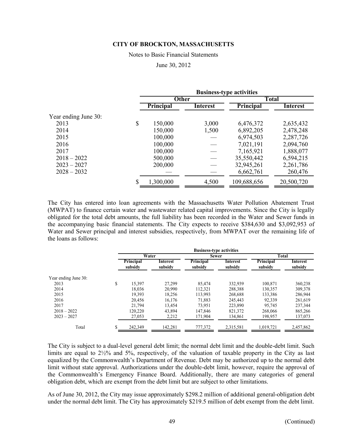#### Notes to Basic Financial Statements

## June 30, 2012

|                      | <b>Business-type activities</b> |          |             |                 |  |  |
|----------------------|---------------------------------|----------|-------------|-----------------|--|--|
|                      | Other                           |          |             | <b>Total</b>    |  |  |
|                      | Principal                       | Interest | Principal   | <b>Interest</b> |  |  |
| Year ending June 30: |                                 |          |             |                 |  |  |
| 2013                 | \$<br>150,000                   | 3,000    | 6,476,372   | 2,635,432       |  |  |
| 2014                 | 150,000                         | 1,500    | 6,892,205   | 2,478,248       |  |  |
| 2015                 | 100,000                         |          | 6,974,503   | 2,287,726       |  |  |
| 2016                 | 100,000                         |          | 7,021,191   | 2,094,760       |  |  |
| 2017                 | 100,000                         |          | 7,165,921   | 1,888,077       |  |  |
| $2018 - 2022$        | 500,000                         |          | 35,550,442  | 6,594,215       |  |  |
| $2023 - 2027$        | 200,000                         |          | 32,945,261  | 2,261,786       |  |  |
| $2028 - 2032$        |                                 |          | 6,662,761   | 260,476         |  |  |
|                      | \$<br>1,300,000                 | 4,500    | 109,688,656 | 20,500,720      |  |  |

The City has entered into loan agreements with the Massachusetts Water Pollution Abatement Trust (MWPAT) to finance certain water and wastewater related capital improvements. Since the City is legally obligated for the total debt amounts, the full liability has been recorded in the Water and Sewer funds in the accompanying basic financial statements. The City expects to receive \$384,630 and \$3,092,953 of Water and Sewer principal and interest subsidies, respectively, from MWPAT over the remaining life of the loans as follows:

|                      | Water                |                     | <b>Business-type activities</b><br>Sewer |                     | Total                |                     |
|----------------------|----------------------|---------------------|------------------------------------------|---------------------|----------------------|---------------------|
|                      | Principal<br>subsidy | Interest<br>subsidy | Principal<br>subsidy                     | Interest<br>subsidy | Principal<br>subsidy | Interest<br>subsidy |
| Year ending June 30: |                      |                     |                                          |                     |                      |                     |
| 2013                 | \$<br>15,397         | 27.299              | 85.474                                   | 332,939             | 100.871              | 360,238             |
| 2014                 | 18,036               | 20,990              | 112,321                                  | 288,388             | 130,357              | 309,378             |
| 2015                 | 19,393               | 18,256              | 113,993                                  | 268,688             | 133,386              | 286,944             |
| 2016                 | 20,456               | 16,176              | 71,883                                   | 245,443             | 92,339               | 261,619             |
| 2017                 | 21,794               | 13,454              | 73,951                                   | 223,890             | 95,745               | 237,344             |
| $2018 - 2022$        | 120,220              | 43,894              | 147,846                                  | 821,372             | 268,066              | 865,266             |
| $2023 - 2027$        | 27,053               | 2,212               | 171,904                                  | 134,861             | 198,957              | 137,073             |
| Total                | 242,349              | 142,281             | 777,372                                  | 2,315,581           | 1,019,721            | 2,457,862           |

The City is subject to a dual-level general debt limit; the normal debt limit and the double-debt limit. Such limits are equal to 2½% and 5%, respectively, of the valuation of taxable property in the City as last equalized by the Commonwealth's Department of Revenue. Debt may be authorized up to the normal debt limit without state approval. Authorizations under the double-debt limit, however, require the approval of the Commonwealth's Emergency Finance Board. Additionally, there are many categories of general obligation debt, which are exempt from the debt limit but are subject to other limitations.

As of June 30, 2012, the City may issue approximately \$298.2 million of additional general-obligation debt under the normal debt limit. The City has approximately \$219.5 million of debt exempt from the debt limit.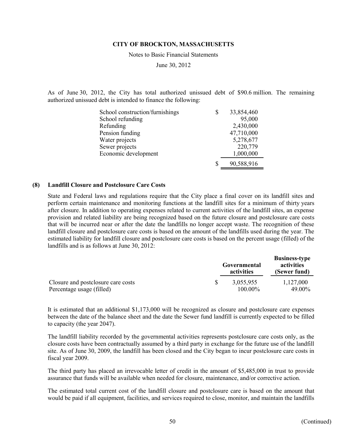Notes to Basic Financial Statements

June 30, 2012

As of June 30, 2012, the City has total authorized unissued debt of \$90.6 million. The remaining

| authorized unissued debt is intended to finance the following: |    |            |
|----------------------------------------------------------------|----|------------|
| School construction/furnishings                                | \$ | 33,854,460 |
| School refunding                                               |    | 95,000     |
| Refunding                                                      |    | 2,430,000  |
| Pension funding                                                |    | 47,710,000 |
| Water projects                                                 |    | 5,278,677  |
| Sewer projects                                                 |    | 220,779    |
| Economic development                                           |    | 1,000,000  |
|                                                                | S  | 90,588,916 |
|                                                                |    |            |

## **(8) Landfill Closure and Postclosure Care Costs**

State and Federal laws and regulations require that the City place a final cover on its landfill sites and perform certain maintenance and monitoring functions at the landfill sites for a minimum of thirty years after closure. In addition to operating expenses related to current activities of the landfill sites, an expense provision and related liability are being recognized based on the future closure and postclosure care costs that will be incurred near or after the date the landfills no longer accept waste. The recognition of these landfill closure and postclosure care costs is based on the amount of the landfills used during the year. The landfills and is as follows at June 30, 2012:

| estimated liability for landfill closure and postclosure care costs is based on the percent usage (filled) of the<br>landfills and is as follows at June 30, 2012: |    |                            |                                                    |
|--------------------------------------------------------------------------------------------------------------------------------------------------------------------|----|----------------------------|----------------------------------------------------|
|                                                                                                                                                                    |    | Governmental<br>activities | <b>Business-type</b><br>activities<br>(Sewer fund) |
| Closure and postclosure care costs<br>Percentage usage (filled)                                                                                                    | S. | 3,055,955<br>100.00%       | 1,127,000<br>49.00%                                |

It is estimated that an additional \$1,173,000 will be recognized as closure and postclosure care expenses between the date of the balance sheet and the date the Sewer fund landfill is currently expected to be filled to capacity (the year 2047).

The landfill liability recorded by the governmental activities represents postclosure care costs only, as the closure costs have been contractually assumed by a third party in exchange for the future use of the landfill site. As of June 30, 2009, the landfill has been closed and the City began to incur postclosure care costs in fiscal year 2009.

The third party has placed an irrevocable letter of credit in the amount of \$5,485,000 in trust to provide assurance that funds will be available when needed for closure, maintenance, and/or corrective action.

The estimated total current cost of the landfill closure and postclosure care is based on the amount that would be paid if all equipment, facilities, and services required to close, monitor, and maintain the landfills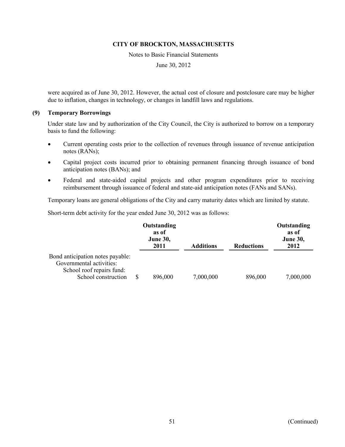Notes to Basic Financial Statements

June 30, 2012

were acquired as of June 30, 2012. However, the actual cost of closure and postclosure care may be higher due to inflation, changes in technology, or changes in landfill laws and regulations.

## **(9) Temporary Borrowings**

Under state law and by authorization of the City Council, the City is authorized to borrow on a temporary basis to fund the following:

- Current operating costs prior to the collection of revenues through issuance of revenue anticipation notes (RANs);
- Capital project costs incurred prior to obtaining permanent financing through issuance of bond anticipation notes (BANs); and
- Federal and state-aided capital projects and other program expenditures prior to receiving reimbursement through issuance of federal and state-aid anticipation notes (FANs and SANs).

Temporary loans are general obligations of the City and carry maturity dates which are limited by statute.

Short-term debt activity for the year ended June 30, 2012 was as follows:

|                                                                                                                  | Outstanding<br>as of<br><b>June 30,</b><br>2011 | <b>Additions</b> | <b>Reductions</b> | Outstanding<br>as of<br><b>June 30,</b><br>2012 |
|------------------------------------------------------------------------------------------------------------------|-------------------------------------------------|------------------|-------------------|-------------------------------------------------|
| Bond anticipation notes payable:<br>Governmental activities:<br>School roof repairs fund:<br>School construction | <sup>S</sup><br>896,000                         | 7,000,000        | 896,000           | 7,000,000                                       |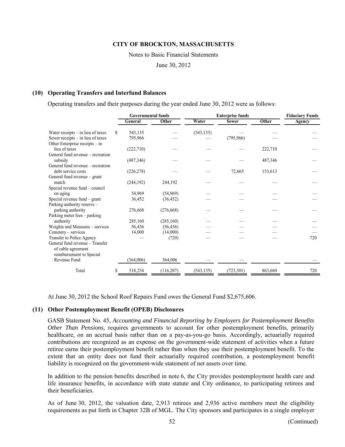Notes to Basic Financial Statements

June 30, 2012

## **(10) Operating Transfers and Interfund Balances**

| Operating transfers and their purposes during the year ended June 30, 2012 were as follows: |    |                           |            |            |                         |         |        |  |
|---------------------------------------------------------------------------------------------|----|---------------------------|------------|------------|-------------------------|---------|--------|--|
|                                                                                             |    | <b>Governmental funds</b> |            |            | <b>Enterprise funds</b> |         |        |  |
|                                                                                             |    | General                   | Other      | Water      | <b>Sewer</b>            | Other   | Agency |  |
| Water receipts $-$ in lieu of taxes                                                         | S. | 543,135                   |            | (543, 135) |                         |         |        |  |
| Sewer receipts - in lieu of taxes<br>Other Enterprise receipts – in                         |    | 795,966                   |            |            | (795, 966)              |         |        |  |
| lieu of taxes                                                                               |    | (222, 710)                |            |            |                         | 222,710 |        |  |
| General fund revenue – recreation<br>subsidy                                                |    | (487, 346)                |            |            |                         | 487,346 |        |  |
| General fund revenue – recreation<br>debt service costs                                     |    | (226, 278)                |            |            | 72,665                  | 153,613 |        |  |
| General fund revenue – grant                                                                |    |                           |            |            |                         |         |        |  |
| match<br>Special revenue fund - council                                                     |    | (244, 192)                | 244,192    |            |                         |         |        |  |
| on aging                                                                                    |    | 54,969                    | (54,969)   |            |                         |         |        |  |
| Special revenue fund $-$ grant<br>Parking authority reserve -                               |    | 36,452                    | (36, 452)  |            |                         |         |        |  |
| parking authority                                                                           |    | 276,668                   | (276, 668) |            |                         |         |        |  |
| Parking meter fees – parking<br>authority                                                   |    | 285,160                   | (285,160)  |            |                         |         |        |  |
| Weights and Measures - services                                                             |    | 56,436                    | (56, 436)  |            |                         |         |        |  |
| Cemetery – services                                                                         |    | 14,000                    | (14,000)   |            |                         |         |        |  |
| Transfer to Police Agency                                                                   |    |                           | (720)      |            |                         |         | 720    |  |
| General fund revenue - Transfer<br>of cable agreement                                       |    |                           |            |            |                         |         |        |  |
| reimbursement to Special<br>Revenue Fund                                                    |    | (364,006)                 | 364,006    |            |                         |         |        |  |
| Total                                                                                       |    | 518,254                   | (116,207)  | (543, 135) | (723, 301)              | 863,669 | 720    |  |

At June 30, 2012 the School Roof Repairs Fund owes the General Fund \$2,675,606.

#### **(11) Other Postemployment Benefit (OPEB) Disclosures**

GASB Statement No. 45, *Accounting and Financial Reporting by Employers for Postemployment Benefits Other Than Pensions,* requires governments to account for other postemployment benefits, primarily healthcare, on an accrual basis rather than on a pay-as-you-go basis. Accordingly, actuarially required contributions are recognized as an expense on the government-wide statement of activities when a future retiree earns their postemployment benefit rather than when they use their postemployment benefit. To the extent that an entity does not fund their actuarially required contribution, a postemployment benefit liability is recognized on the government-wide statement of net assets over time.

In addition to the pension benefits described in note 6, the City provides postemployment health care and life insurance benefits, in accordance with state statute and City ordinance, to participating retirees and their beneficiaries.

As of June 30, 2012, the valuation date, 2,913 retirees and 2,936 active members meet the eligibility requirements as put forth in Chapter 32B of MGL. The City sponsors and participates in a single employer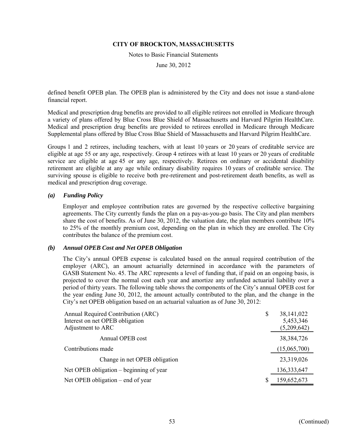Notes to Basic Financial Statements

June 30, 2012

defined benefit OPEB plan. The OPEB plan is administered by the City and does not issue a stand-alone financial report.

Medical and prescription drug benefits are provided to all eligible retirees not enrolled in Medicare through a variety of plans offered by Blue Cross Blue Shield of Massachusetts and Harvard Pilgrim HealthCare. Medical and prescription drug benefits are provided to retirees enrolled in Medicare through Medicare Supplemental plans offered by Blue Cross Blue Shield of Massachusetts and Harvard Pilgrim HealthCare.

Groups 1 and 2 retirees, including teachers, with at least 10 years or 20 years of creditable service are eligible at age 55 or any age, respectively. Group 4 retirees with at least 10 years or 20 years of creditable service are eligible at age 45 or any age, respectively. Retirees on ordinary or accidental disability retirement are eligible at any age while ordinary disability requires 10 years of creditable service. The surviving spouse is eligible to receive both pre-retirement and post-retirement death benefits, as well as medical and prescription drug coverage.

## *(a) Funding Policy*

Employer and employee contribution rates are governed by the respective collective bargaining agreements. The City currently funds the plan on a pay-as-you-go basis. The City and plan members share the cost of benefits. As of June 30, 2012, the valuation date, the plan members contribute 10% to 25% of the monthly premium cost, depending on the plan in which they are enrolled. The City contributes the balance of the premium cost.

#### *(b) Annual OPEB Cost and Net OPEB Obligation*

The City's annual OPEB expense is calculated based on the annual required contribution of the employer (ARC), an amount actuarially determined in accordance with the parameters of GASB Statement No. 45. The ARC represents a level of funding that, if paid on an ongoing basis, is projected to cover the normal cost each year and amortize any unfunded actuarial liability over a period of thirty years. The following table shows the components of the City's annual OPEB cost for the year ending June 30, 2012, the amount actually contributed to the plan, and the change in the City's net OPEB obligation based on an actuarial valuation as of June 30, 2012: beriod of thirty years. The following table shows the components of the City's annual OPEB cost for<br>the year ending June 30, 2012, the amount actually contributed to the plan, and the change in the<br>City's net OPEB obligati

| Annual Required Contribution (ARC)<br>Interest on net OPEB obligation<br>Adjustment to ARC | \$ | 38, 141, 022<br>5,453,346<br>(5,209,642) |
|--------------------------------------------------------------------------------------------|----|------------------------------------------|
| Annual OPEB cost                                                                           |    | 38, 384, 726                             |
| Contributions made                                                                         |    | (15,065,700)                             |
| Change in net OPEB obligation                                                              |    | 23,319,026                               |
| Net OPEB obligation – beginning of year                                                    |    | 136, 333, 647                            |
| Net OPEB obligation – end of year                                                          | S  | 159,652,673                              |
|                                                                                            |    |                                          |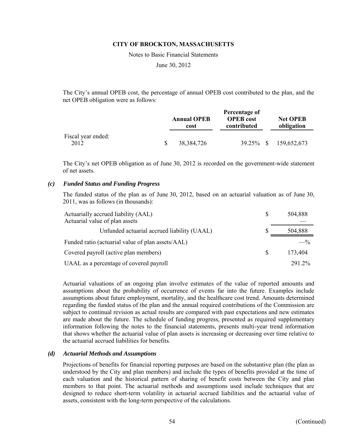Notes to Basic Financial Statements

June 30, 2012

net OPEB obligation were as follows:

| The City's annual OPEB cost, the percentage of annual OPEB cost contributed to the plan, and the<br>net OPEB obligation were as follows: |               |                            |                                                  |                               |  |
|------------------------------------------------------------------------------------------------------------------------------------------|---------------|----------------------------|--------------------------------------------------|-------------------------------|--|
|                                                                                                                                          |               | <b>Annual OPEB</b><br>cost | Percentage of<br><b>OPEB</b> cost<br>contributed | <b>Net OPEB</b><br>obligation |  |
| Fiscal year ended:<br>2012                                                                                                               | <sup>\$</sup> | 38, 384, 726               | $39.25\%$ \$                                     | 159,652,673                   |  |

The City's net OPEB obligation as of June 30, 2012 is recorded on the government-wide statement of net assets.

#### *(c) Funded Status and Funding Progress*

| The funded status of the plan as of June 30, 2012, based on an actuarial valuation as of June 30,<br>2011, was as follows (in thousands): |    |                 |
|-------------------------------------------------------------------------------------------------------------------------------------------|----|-----------------|
| Actuarially accrued liability (AAL)<br>Actuarial value of plan assets                                                                     | \$ | 504,888         |
| Unfunded actuarial accrued liability (UAAL)                                                                                               |    | 504,888         |
| Funded ratio (actuarial value of plan assets/AAL)                                                                                         |    | $- \frac{9}{6}$ |
| Covered payroll (active plan members)                                                                                                     | S  | 173,404         |
| UAAL as a percentage of covered payroll                                                                                                   |    | 291.2%          |

Actuarial valuations of an ongoing plan involve estimates of the value of reported amounts and assumptions about the probability of occurrence of events far into the future. Examples include assumptions about future employment, mortality, and the healthcare cost trend. Amounts determined regarding the funded status of the plan and the annual required contributions of the Commission are subject to continual revision as actual results are compared with past expectations and new estimates are made about the future. The schedule of funding progress, presented as required supplementary information following the notes to the financial statements, presents multi-year trend information that shows whether the actuarial value of plan assets is increasing or decreasing over time relative to the actuarial accrued liabilities for benefits.

#### *(d) Actuarial Methods and Assumptions*

Projections of benefits for financial reporting purposes are based on the substantive plan (the plan as understood by the City and plan members) and include the types of benefits provided at the time of each valuation and the historical pattern of sharing of benefit costs between the City and plan members to that point. The actuarial methods and assumptions used include techniques that are designed to reduce short-term volatility in actuarial accrued liabilities and the actuarial value of assets, consistent with the long-term perspective of the calculations.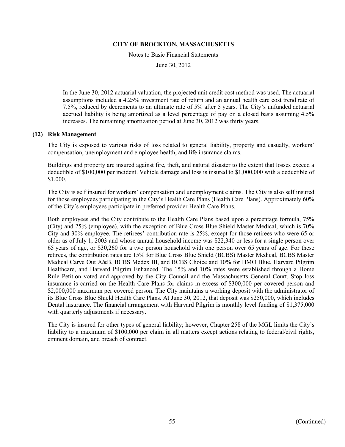Notes to Basic Financial Statements

June 30, 2012

In the June 30, 2012 actuarial valuation, the projected unit credit cost method was used. The actuarial assumptions included a 4.25% investment rate of return and an annual health care cost trend rate of 7.5%, reduced by decrements to an ultimate rate of 5% after 5 years. The City's unfunded actuarial accrued liability is being amortized as a level percentage of pay on a closed basis assuming 4.5% increases. The remaining amortization period at June 30, 2012 was thirty years.

#### **(12) Risk Management**

The City is exposed to various risks of loss related to general liability, property and casualty, workers' compensation, unemployment and employee health, and life insurance claims.

Buildings and property are insured against fire, theft, and natural disaster to the extent that losses exceed a deductible of \$100,000 per incident. Vehicle damage and loss is insured to \$1,000,000 with a deductible of \$1,000.

The City is self insured for workers' compensation and unemployment claims. The City is also self insured for those employees participating in the City's Health Care Plans (Health Care Plans). Approximately 60% of the City's employees participate in preferred provider Health Care Plans.

Both employees and the City contribute to the Health Care Plans based upon a percentage formula, 75% (City) and 25% (employee), with the exception of Blue Cross Blue Shield Master Medical, which is 70% City and 30% employee. The retirees' contribution rate is 25%, except for those retirees who were 65 or older as of July 1, 2003 and whose annual household income was \$22,340 or less for a single person over 65 years of age, or \$30,260 for a two person household with one person over 65 years of age. For these retirees, the contribution rates are 15% for Blue Cross Blue Shield (BCBS) Master Medical, BCBS Master Medical Carve Out A&B, BCBS Medex III, and BCBS Choice and 10% for HMO Blue, Harvard Pilgrim Healthcare, and Harvard Pilgrim Enhanced. The 15% and 10% rates were established through a Home Rule Petition voted and approved by the City Council and the Massachusetts General Court. Stop loss insurance is carried on the Health Care Plans for claims in excess of \$300,000 per covered person and \$2,000,000 maximum per covered person. The City maintains a working deposit with the administrator of its Blue Cross Blue Shield Health Care Plans. At June 30, 2012, that deposit was \$250,000, which includes Dental insurance. The financial arrangement with Harvard Pilgrim is monthly level funding of \$1,375,000 with quarterly adjustments if necessary.

The City is insured for other types of general liability; however, Chapter 258 of the MGL limits the City's liability to a maximum of \$100,000 per claim in all matters except actions relating to federal/civil rights, eminent domain, and breach of contract.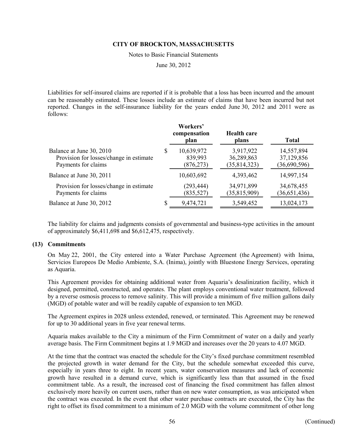Notes to Basic Financial Statements

June 30, 2012

Liabilities for self-insured claims are reported if it is probable that a loss has been incurred and the amount can be reasonably estimated. These losses include an estimate of claims that have been incurred but not follows:

|                                                                                            |    | Workers'<br>compensation<br>plan    | <b>Health care</b><br>plans               | <b>Total</b>                             |
|--------------------------------------------------------------------------------------------|----|-------------------------------------|-------------------------------------------|------------------------------------------|
| Balance at June 30, 2010<br>Provision for losses/change in estimate<br>Payments for claims | \$ | 10,639,972<br>839,993<br>(876, 273) | 3,917,922<br>36,289,863<br>(35, 814, 323) | 14,557,894<br>37,129,856<br>(36,690,596) |
| Balance at June 30, 2011                                                                   |    | 10,603,692                          | 4,393,462                                 | 14,997,154                               |
| Provision for losses/change in estimate<br>Payments for claims                             |    | (293, 444)<br>(835, 527)            | 34,971,899<br>(35, 815, 909)              | 34,678,455<br>(36, 651, 436)             |
| Balance at June 30, 2012                                                                   | S  | 9,474,721                           | 3,549,452                                 | 13,024,173                               |

The liability for claims and judgments consists of governmental and business-type activities in the amount of approximately \$6,411,698 and \$6,612,475, respectively.

#### **(13) Commitments**

On May 22, 2001, the City entered into a Water Purchase Agreement (the Agreement) with Inima, Servicios Europeos De Medio Ambiente, S.A. (Inima), jointly with Bluestone Energy Services, operating as Aquaria.

This Agreement provides for obtaining additional water from Aquaria's desalinization facility, which it designed, permitted, constructed, and operates. The plant employs conventional water treatment, followed by a reverse osmosis process to remove salinity. This will provide a minimum of five million gallons daily (MGD) of potable water and will be readily capable of expansion to ten MGD.

The Agreement expires in 2028 unless extended, renewed, or terminated. This Agreement may be renewed for up to 30 additional years in five year renewal terms.

Aquaria makes available to the City a minimum of the Firm Commitment of water on a daily and yearly average basis. The Firm Commitment begins at 1.9 MGD and increases over the 20 years to 4.07 MGD.

At the time that the contract was enacted the schedule for the City's fixed purchase commitment resembled the projected growth in water demand for the City, but the schedule somewhat exceeded this curve, especially in years three to eight. In recent years, water conservation measures and lack of economic growth have resulted in a demand curve, which is significantly less than that assumed in the fixed commitment table. As a result, the increased cost of financing the fixed commitment has fallen almost exclusively more heavily on current users, rather than on new water consumption, as was anticipated when the contract was executed. In the event that other water purchase contracts are executed, the City has the right to offset its fixed commitment to a minimum of 2.0 MGD with the volume commitment of other long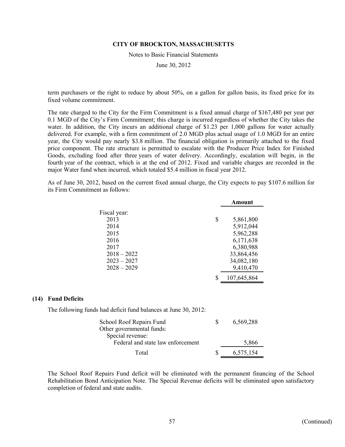Notes to Basic Financial Statements

June 30, 2012

term purchasers or the right to reduce by about 50%, on a gallon for gallon basis, its fixed price for its fixed volume commitment.

The rate charged to the City for the Firm Commitment is a fixed annual charge of \$167,480 per year per 0.1 MGD of the City's Firm Commitment; this charge is incurred regardless of whether the City takes the water. In addition, the City incurs an additional charge of \$1.23 per 1,000 gallons for water actually delivered. For example, with a firm commitment of 2.0 MGD plus actual usage of 1.0 MGD for an entire year, the City would pay nearly \$3.8 million. The financial obligation is primarily attached to the fixed price component. The rate structure is permitted to escalate with the Producer Price Index for Finished Goods, excluding food after three years of water delivery. Accordingly, escalation will begin, in the fourth year of the contract, which is at the end of 2012. Fixed and variable charges are recorded in the major Water fund when incurred, which totaled \$5.4 million in fiscal year 2012.

As of June 30, 2012, based on the current fixed annual charge, the City expects to pay \$107.6 million for its Firm Commitment as follows:

|               |    | Amount      |
|---------------|----|-------------|
| Fiscal year:  |    |             |
| 2013          | \$ | 5,861,800   |
| 2014          |    | 5,912,044   |
| 2015          |    | 5,962,288   |
| 2016          |    | 6,171,638   |
| 2017          |    | 6,380,988   |
| $2018 - 2022$ |    | 33,864,456  |
| $2023 - 2027$ |    | 34,082,180  |
| $2028 - 2029$ |    | 9,410,470   |
|               | S  | 107,645,864 |
|               |    |             |

#### **(14) Fund Deficits**

The following funds had deficit fund balances at June 30, 2012:

| School Roof Repairs Fund          | 6,569,288 |
|-----------------------------------|-----------|
| Other governmental funds:         |           |
| Special revenue:                  |           |
| Federal and state law enforcement | 5,866     |
| Total                             | 6,575,154 |

The School Roof Repairs Fund deficit will be eliminated with the permanent financing of the School Rehabilitation Bond Anticipation Note. The Special Revenue deficits will be eliminated upon satisfactory completion of federal and state audits.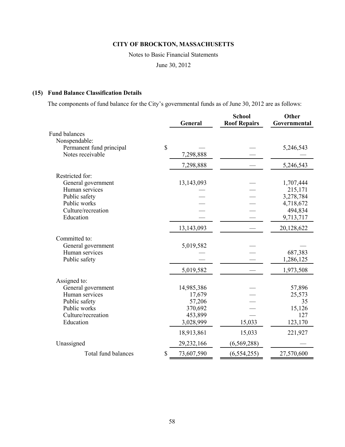Notes to Basic Financial Statements

June 30, 2012

## **(15) Fund Balance Classification Details**

|                          | General          | <b>School</b><br><b>Roof Repairs</b> | Other<br>Governmental |
|--------------------------|------------------|--------------------------------------|-----------------------|
| <b>Fund balances</b>     |                  |                                      |                       |
| Nonspendable:            |                  |                                      |                       |
| Permanent fund principal | \$               |                                      | 5,246,543             |
| Notes receivable         | 7,298,888        |                                      |                       |
|                          | 7,298,888        |                                      | 5,246,543             |
| Restricted for:          |                  |                                      |                       |
| General government       | 13,143,093       |                                      | 1,707,444             |
| Human services           |                  |                                      | 215,171               |
| Public safety            |                  |                                      | 3,278,784             |
| Public works             |                  |                                      | 4,718,672             |
| Culture/recreation       |                  |                                      | 494,834               |
| Education                |                  |                                      | 9,713,717             |
|                          | 13,143,093       |                                      | 20,128,622            |
| Committed to:            |                  |                                      |                       |
| General government       | 5,019,582        |                                      |                       |
| Human services           |                  |                                      | 687,383               |
| Public safety            |                  |                                      | 1,286,125             |
|                          | 5,019,582        |                                      | 1,973,508             |
| Assigned to:             |                  |                                      |                       |
| General government       | 14,985,386       |                                      | 57,896                |
| Human services           | 17,679           |                                      | 25,573                |
| Public safety            | 57,206           |                                      | 35                    |
| Public works             | 370,692          |                                      | 15,126                |
| Culture/recreation       | 453,899          |                                      | 127                   |
| Education                | 3,028,999        | 15,033                               | 123,170               |
|                          | 18,913,861       | 15,033                               | 221,927               |
| Unassigned               | 29,232,166       | (6, 569, 288)                        |                       |
| Total fund balances      | \$<br>73,607,590 | (6, 554, 255)                        | 27,570,600            |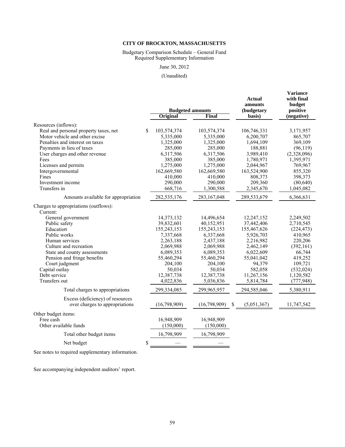#### Budgetary Comparison Schedule – General Fund Required Supplementary Information

## June 30, 2012

## (Unaudited)

**Variance**

|                                       |    |                         |              |   | <b>Actual</b><br>amounts | with final<br>budget |
|---------------------------------------|----|-------------------------|--------------|---|--------------------------|----------------------|
|                                       |    | <b>Budgeted amounts</b> |              |   | (budgetary               | positive             |
|                                       |    | <b>Original</b>         | Final        |   | basis)                   | (negative)           |
| Resources (inflows):                  |    |                         |              |   |                          |                      |
| Real and personal property taxes, net | S  | 103,574,374             | 103,574,374  |   | 106,746,331              | 3,171,957            |
| Motor vehicle and other excise        |    | 5,335,000               | 5,335,000    |   | 6,200,707                | 865,707              |
| Penalties and interest on taxes       |    | 1,325,000               | 1,325,000    |   | 1,694,109                | 369,109              |
| Payments in lieu of taxes             |    | 285,000                 | 285,000      |   | 188,881                  | (96, 119)            |
| User charges and other revenue        |    | 6,317,506               | 6,317,506    |   | 3,989,410                | (2,328,096)          |
| Fees                                  |    | 385,000                 | 385,000      |   | 1,780,971                | 1,395,971            |
| Licenses and permits                  |    | 1,275,000               | 1,275,000    |   | 2,044,967                | 769,967              |
| Intergovernmental                     |    | 162,669,580             | 162,669,580  |   | 163,524,900              | 855,320              |
| Fines                                 |    | 410,000                 | 410,000      |   | 808,373                  | 398,373              |
| Investment income                     |    | 290,000                 | 290,000      |   | 209,360                  | (80, 640)            |
| Transfers in                          |    | 668,716                 | 1,300,588    |   | 2,345,670                | 1,045,082            |
| Amounts available for appropriation   |    | 282,535,176             | 283,167,048  |   | 289,533,679              | 6,366,631            |
| Charges to appropriations (outflows): |    |                         |              |   |                          |                      |
| Current:                              |    |                         |              |   |                          |                      |
| General government                    |    | 14,373,132              | 14,496,654   |   | 12,247,152               | 2,249,502            |
| Public safety                         |    | 39,832,601              | 40,152,951   |   | 37,442,406               | 2,710,545            |
| Education                             |    | 155,243,153             | 155,243,153  |   | 155,467,626              | (224, 473)           |
| Public works                          |    | 7,337,668               | 6,337,668    |   | 5,926,703                | 410,965              |
| Human services                        |    | 2,263,188               | 2,437,188    |   | 2,216,982                | 220,206              |
| Culture and recreation                |    | 2,069,988               | 2,069,988    |   | 2,462,149                | (392, 161)           |
| State and county assessments          |    | 6,089,353               | 6,089,353    |   | 6,022,609                | 66,744               |
| Pension and fringe benefits           |    | 55,460,294              | 55,460,294   |   | 55,041,042               | 419,252              |
| Court judgment                        |    | 204,100                 | 204,100      |   | 94,379                   | 109,721              |
| Capital outlay                        |    | 50,034                  | 50,034       |   | 582,058                  | (532, 024)           |
| Debt service                          |    | 12,387,738              | 12,387,738   |   | 11,267,156               | 1,120,582            |
| Transfers out                         |    | 4,022,836               | 5,036,836    |   | 5,814,784                | (777, 948)           |
| Total charges to appropriations       |    | 299,334,085             | 299,965,957  |   | 294,585,046              | 5,380,911            |
| Excess (deficiency) of resources      |    |                         |              |   |                          |                      |
| over charges to appropriations        |    | (16,798,909)            | (16,798,909) | S | (5,051,367)              | 11,747,542           |
| Other budget items:                   |    |                         |              |   |                          |                      |
| Free cash                             |    | 16,948,909              | 16,948,909   |   |                          |                      |
| Other available funds                 |    | (150,000)               | (150,000)    |   |                          |                      |
| Total other budget items              |    | 16,798,909              | 16,798,909   |   |                          |                      |
| Net budget                            | \$ |                         |              |   |                          |                      |
|                                       |    |                         |              |   |                          |                      |

See notes to required supplementary information.

See accompanying independent auditors' report.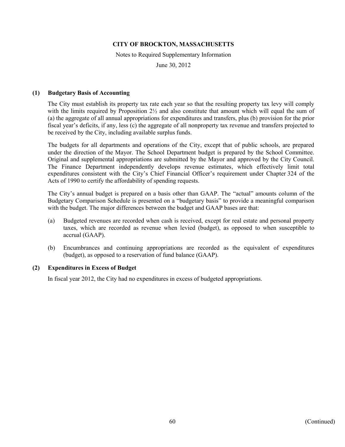Notes to Required Supplementary Information

June 30, 2012

## **(1) Budgetary Basis of Accounting**

The City must establish its property tax rate each year so that the resulting property tax levy will comply with the limits required by Proposition 2½ and also constitute that amount which will equal the sum of (a) the aggregate of all annual appropriations for expenditures and transfers, plus (b) provision for the prior fiscal year's deficits, if any, less (c) the aggregate of all nonproperty tax revenue and transfers projected to be received by the City, including available surplus funds.

The budgets for all departments and operations of the City, except that of public schools, are prepared under the direction of the Mayor. The School Department budget is prepared by the School Committee. Original and supplemental appropriations are submitted by the Mayor and approved by the City Council. The Finance Department independently develops revenue estimates, which effectively limit total expenditures consistent with the City's Chief Financial Officer's requirement under Chapter 324 of the Acts of 1990 to certify the affordability of spending requests.

The City's annual budget is prepared on a basis other than GAAP. The "actual" amounts column of the Budgetary Comparison Schedule is presented on a "budgetary basis" to provide a meaningful comparison with the budget. The major differences between the budget and GAAP bases are that:

- (a) Budgeted revenues are recorded when cash is received, except for real estate and personal property taxes, which are recorded as revenue when levied (budget), as opposed to when susceptible to accrual (GAAP).
- (b) Encumbrances and continuing appropriations are recorded as the equivalent of expenditures (budget), as opposed to a reservation of fund balance (GAAP).

## **(2) Expenditures in Excess of Budget**

In fiscal year 2012, the City had no expenditures in excess of budgeted appropriations.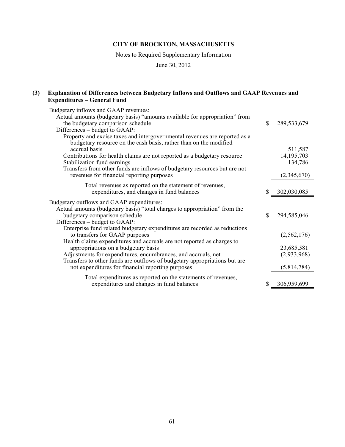Notes to Required Supplementary Information

June 30, 2012

## **(3) Explanation of Differences between Budgetary Inflows and Outflows and GAAP Revenues and Expenditures – General Fund**

|    | едрининон от в нгегенеез веситеся виадели у тяпо из ина слатно из ина стать тестовое ина |
|----|------------------------------------------------------------------------------------------|
| \$ | 289,533,679                                                                              |
|    | 511,587<br>14, 195, 703<br>134,786                                                       |
|    | (2,345,670)                                                                              |
|    | 302,030,085                                                                              |
| \$ | 294,585,046                                                                              |
|    | (2,562,176)                                                                              |
|    | 23,685,581<br>(2,933,968)                                                                |
|    | (5,814,784)                                                                              |
| S  | 306,959,699                                                                              |
|    |                                                                                          |